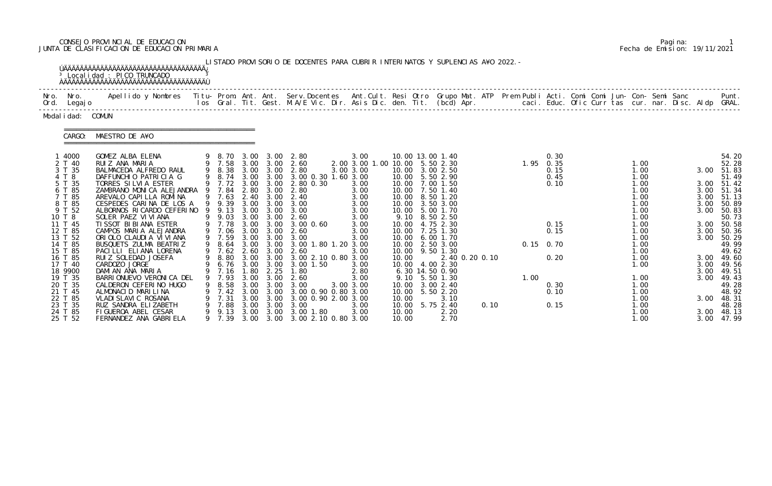# CONSEJO PROVINCIAL DE EDUCACION Pagina: 1 JUNTA DE CLASIFICACION DE EDUCACION PRIMARIA Fecha de Emision: 19/11/2021

|                                                                                                                                                                              | <sup>3</sup> Localidad : PICO TRUNCADO<br><u>ŇÄÄÄÄÄÄÄÄÄÄÄÄÄÄÄÄÄÄÄÄÄÄÄÄÄÄÄÄÄÄÄÄÄÄ</u>                                                                                                                                                                                                                                                                                                                                                                                     |    |                                                                    |                                                      |                                                      | LISTADO PROVISORIO DE DOCENTES PARA CUBRIR INTERINATOS Y SUPLENCIAS A¥O 2022. -                                                                                                                                                                                                                                                                                                                                                                         |                                                                                                                                |                                                                                                                                                                                                                                                                                                    |                                                |      |      |                                                                                          |  |                                                                                                                              |                                                                      |                                                                                                                                                                      |
|------------------------------------------------------------------------------------------------------------------------------------------------------------------------------|--------------------------------------------------------------------------------------------------------------------------------------------------------------------------------------------------------------------------------------------------------------------------------------------------------------------------------------------------------------------------------------------------------------------------------------------------------------------------|----|--------------------------------------------------------------------|------------------------------------------------------|------------------------------------------------------|---------------------------------------------------------------------------------------------------------------------------------------------------------------------------------------------------------------------------------------------------------------------------------------------------------------------------------------------------------------------------------------------------------------------------------------------------------|--------------------------------------------------------------------------------------------------------------------------------|----------------------------------------------------------------------------------------------------------------------------------------------------------------------------------------------------------------------------------------------------------------------------------------------------|------------------------------------------------|------|------|------------------------------------------------------------------------------------------|--|------------------------------------------------------------------------------------------------------------------------------|----------------------------------------------------------------------|----------------------------------------------------------------------------------------------------------------------------------------------------------------------|
| Nro. Nro.<br>Ord. Legajo                                                                                                                                                     | Apellido y Nombres  Titu- Prom. Ant. Ant.  Serv.Docentes  Ant.Cult. Resi Otro  Grupo Mat. ATP  Prem Publi Acti. Comi Comi Jun- Con- Semi Sanc              Punt.<br>Ios Gral. Tit. Gest. M.A/E Vic. Dir. Asis Dic. den. Tit. (bcd                                                                                                                                                                                                                                        |    |                                                                    |                                                      |                                                      |                                                                                                                                                                                                                                                                                                                                                                                                                                                         |                                                                                                                                |                                                                                                                                                                                                                                                                                                    |                                                |      |      |                                                                                          |  |                                                                                                                              |                                                                      |                                                                                                                                                                      |
| Modal i dad: COMUN                                                                                                                                                           |                                                                                                                                                                                                                                                                                                                                                                                                                                                                          |    |                                                                    |                                                      |                                                      |                                                                                                                                                                                                                                                                                                                                                                                                                                                         |                                                                                                                                |                                                                                                                                                                                                                                                                                                    |                                                |      |      |                                                                                          |  |                                                                                                                              |                                                                      |                                                                                                                                                                      |
| CARGO:                                                                                                                                                                       | MAESTRO DE A¥O                                                                                                                                                                                                                                                                                                                                                                                                                                                           |    |                                                                    |                                                      |                                                      |                                                                                                                                                                                                                                                                                                                                                                                                                                                         |                                                                                                                                |                                                                                                                                                                                                                                                                                                    |                                                |      |      |                                                                                          |  |                                                                                                                              |                                                                      |                                                                                                                                                                      |
| 1 4000<br>2 T 40<br>3 T 35<br>4 T 8<br>5 T 35<br>6 T 85<br>7 T 85<br>8 T 85<br>9 T 52<br>10 T 8<br>11 T 45<br>12 T 85<br>13 T 52<br>14 T 85<br>15 T 85<br>16 T 85<br>17 T 40 | GOMEZ ALBA ELENA<br>RUIZ ANA MARIA<br>BALMACEDA ALFREDO RAUL<br>DAFFUNCHIO PATRICIA G<br>TORRES SILVIA ESTER<br>ZAMBRANO MONICA ALEJANDRA 9 7.84 2.80 3.00 2.80<br>AREVALO CAPILLA ROMINA<br>CESPEDES CARINA DE LOS A<br>ALBORNOS RICARDO CEFERINO<br>SOLER PAEZ VI VI ANA<br>TI SSOT BI BI ANA ESTER<br>CAMPOS MARIA ALEJANDRA<br>ORIOLO CLAUDIA VIVIANA<br>BUSQUETS ZULMA BEATRIZ<br>PACILLI ELIANA LORENA<br>RUIZ SOLEDAD JOSEFA<br>CARDOZO JORGE<br>DAMIAN ANA MARIA |    | 9 7.63<br>9 9.39<br>9 9.13<br>9 9.03<br>9 7.06 3.00 3.00<br>9 7.59 |                                                      |                                                      | 9 8.70 3.00 3.00 2.80<br>9 7.58 3.00 3.00 2.60<br>9 8.38 3.00 3.00 2.80 3.00 3.00<br>9 8.74 3.00 3.00 3.00 0.30 1.60 3.00<br>9 7.72 3.00 3.00 2.80 0.30<br>2.40 3.00 2.40<br>3.00 3.00 3.00<br>3.00 3.00 3.00<br>3.00 3.00 2.60<br>9 7.78 3.00 3.00 3.00 0.60<br>2.60<br>3.00 3.00 3.00<br>9 8.64 3.00 3.00 3.00 1.80 1.20 3.00<br>9 7.62 2.60 3.00 2.60<br>9 8.80 3.00 3.00 3.00 2.10 0.80 3.00<br>9 6.76 3.00 3.00 3.00 1.50<br>9 7.16 1.80 2.25 1.80 | 3.00<br>2.00 3.00 1.00 10.00 5.50 2.30<br>3.00<br>3.00<br>3.00<br>3.00<br>3.00<br>3.00<br>3.00<br>3.00<br>3.00<br>3.00<br>3.00 | 10.00 13.00 1.40<br>10.00 3.00 2.50<br>10.00 5.50 2.90<br>10.00 7.00 1.50<br>10.00 7.50 1.40<br>10.00 8.50 1.20<br>10.00 3.50 3.00<br>10.00 5.00 1.70<br>9.10 8.50 2.50<br>10.00 4.75 2.30<br>10.00 7.25 1.30<br>10.00 6.00 1.70<br>10.00 2.50 3.00<br>10.00 9.50 1.30<br>10.00<br>10.00 4.00 2.30 | 2.40 0.20 0.10                                 |      |      | 0.30<br>$1.95 \quad 0.35$<br>0.15<br>0.45<br>0.10<br>0.15<br>0.15<br>$0.15$ 0.70<br>0.20 |  | 1.00<br>1.00<br>1.00<br>1.00<br>1.00<br>1.00<br>1.00<br>1.00<br>1.00<br>1.00<br>1.00<br>1.00<br>1.00<br>1.00<br>1.00<br>1.00 | 3.00<br>3.00<br>3.00<br>3.00<br>3.00<br>3.00<br>3.00<br>3.00<br>3.00 | 54.20<br>52.28<br>51.83<br>51.49<br>3.00 51.42<br>51.34<br>51.13<br>50.89<br>50.83<br>50.73<br>3.00 50.58<br>50.36<br>50.29<br>49.99<br>49.62<br>3.00 49.60<br>49.56 |
| 18 9900<br>19 T 35<br>20 T 35<br>21 T 45<br>22 T 85<br>23 T 35<br>24 T 85<br>25 T 52                                                                                         | BARRI ONUEVO VERONI CA DEL<br>CALDERON CEFERINO HUGO<br>ALMONACID MARILINA<br><b>VLADI SLAVI C ROSANA</b><br>RUZ SANDRA ELIZABETH<br>FIGUEROA ABEL CESAR<br>FERNANDEZ ANA GABRIELA                                                                                                                                                                                                                                                                                       | 9. | 7.93<br>9 8.58<br>7.42<br>7.31<br>7.88<br>9.13<br>9 7.39           | 3.00<br>3.00<br>3.00<br>3.00<br>3.00<br>3.00<br>3.00 | 3.00<br>3.00<br>3.00<br>3.00<br>3.00<br>3.00<br>3.00 | 2.60<br>3.00<br>3.00 0.90 0.80 3.00<br>3.00 0.90 2.00 3.00<br>3.00<br>3.00 1.80<br>3.00 2.10 0.80 3.00                                                                                                                                                                                                                                                                                                                                                  | 2.80<br>3.00<br>3.00 3.00<br>3.00<br>3.00                                                                                      | 6.30 14.50 0.90<br>9.10 5.50 1.30<br>10.00 3.00 2.40<br>10.00<br>10.00<br>10.00<br>10.00<br>10.00                                                                                                                                                                                                  | 5.50 2.20<br>3.10<br>5.75 2.40<br>2.20<br>2.70 | 0.10 | 1.00 | 0.30<br>0.10<br>0.15                                                                     |  | 1.00<br>1.00<br>1.00<br>1.00<br>1.00<br>1.00<br>1.00                                                                         | 3.00<br>3.00<br>3.00                                                 | 49.51<br>49.43<br>49.28<br>48.92<br>48.31<br>48.28<br>48.13<br>3.00 47.99                                                                                            |

|  | Pagi na: |                              |
|--|----------|------------------------------|
|  |          | Fecha de Emision: 19/11/2021 |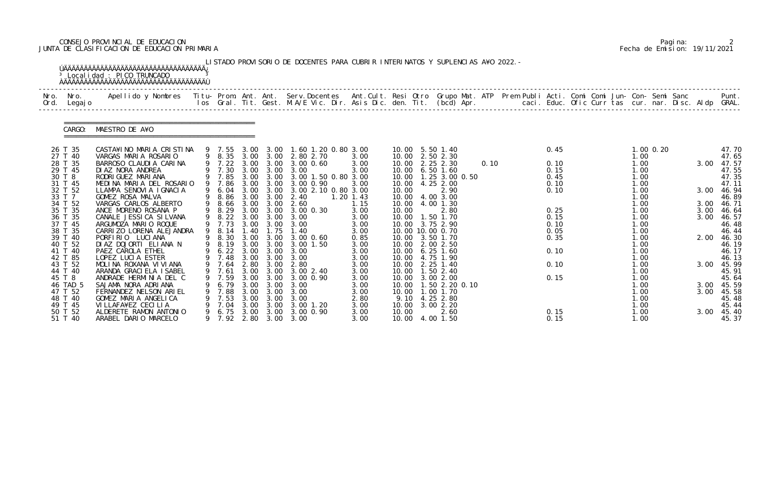## CONSEJO PROVINCIAL DE EDUCACION Pagina: 2 JUNTA DE CLASIFICACION DE EDUCACION PRIMARIA Fecha de Emision: 19/11/2021

|              |                                                                                                                                             | <sup>3</sup> Localidad : PICO TRUNCADO                                                                                                                                                                                                                                                                                            |   |                                                                                                                                      |                                              |                                                                                                                                 | LISTADO PROVISORIO DE DOCENTES PARA CUBRIR INTERINATOS Y SUPLENCIAS A¥O 2022. -                                                                                                                                   |                                                                                                      |                                                                                                |                                                                                                                                                                                          |      |                                                                              |  |                                                                                                        |               |                                      |                                                                                                                   |
|--------------|---------------------------------------------------------------------------------------------------------------------------------------------|-----------------------------------------------------------------------------------------------------------------------------------------------------------------------------------------------------------------------------------------------------------------------------------------------------------------------------------|---|--------------------------------------------------------------------------------------------------------------------------------------|----------------------------------------------|---------------------------------------------------------------------------------------------------------------------------------|-------------------------------------------------------------------------------------------------------------------------------------------------------------------------------------------------------------------|------------------------------------------------------------------------------------------------------|------------------------------------------------------------------------------------------------|------------------------------------------------------------------------------------------------------------------------------------------------------------------------------------------|------|------------------------------------------------------------------------------|--|--------------------------------------------------------------------------------------------------------|---------------|--------------------------------------|-------------------------------------------------------------------------------------------------------------------|
| Nro.<br>Ord. | Nro.<br>Legaj o                                                                                                                             | Apellido y Nombres - Titu- Prom. Ant. Ant. Serv.Docentes - Ant.Cult. Resi Otro Grupo Mat. ATP Prem Publi Acti. Comi Comi Jun- Con- Semi Sanc - - - Punt.<br>Ios Gral. Tit. Gest. M.A/E Vic. Dir. Asis Dic. den. Tit. (bcd) Apr. -                                                                                                 |   |                                                                                                                                      |                                              |                                                                                                                                 |                                                                                                                                                                                                                   |                                                                                                      |                                                                                                |                                                                                                                                                                                          |      |                                                                              |  |                                                                                                        |               |                                      |                                                                                                                   |
|              | CARGO:                                                                                                                                      | MAESTRO DE A¥O                                                                                                                                                                                                                                                                                                                    |   |                                                                                                                                      |                                              |                                                                                                                                 |                                                                                                                                                                                                                   |                                                                                                      |                                                                                                |                                                                                                                                                                                          |      |                                                                              |  |                                                                                                        |               |                                      |                                                                                                                   |
|              | 26 T 35<br>27 T 40<br>28 T 35<br>29 T 45<br>30 T 8<br>31 T 45<br>32 T 52<br>33 T 7<br>34 T 52<br>35 T 35<br>36 T 35<br>37 T 45<br>38 T 35   | CASTA¥INO MARIA CRISTINA<br>VARGAS MARIA ROSARIO<br>BARROSO CLAUDIA CARINA<br>DI AZ NORA ANDREA<br>RODRI GUEZ MARI ANA<br>MEDINA MARIA DEL ROSARIO<br>LLAMPA SENOVIA IGNACIA<br>GOMEZ ROSA MALVA<br>VARGAS CARLOS ALBERTO<br>ANCE MORENO ROSANA P<br>CANALE JESSI CA SI LVANA<br>ARGUMOZA MARIO ROQUE<br>CARRIZO LORENA ALEJANDRA | 9 | 9 7.55<br>9 7.22 3.00 3.00<br>9 7.30 3.00 3.00<br>9 7.86<br>9 6.04<br>8.86<br>9 8.66<br>9 8.29<br>9 8.22 3.00 3.00<br>9 7.73<br>8.14 | 3.00<br>3.00<br>3.00<br>1.40                 | 3.00 3.00<br>3.00<br>3.00 3.00<br>3.00 3.00<br>3.00<br>3.00<br>1.75                                                             | 1.60 1.20 0.80 3.00<br>9 8.35 3.00 3.00 2.80 2.70<br>3.00 0.60<br>3.00<br>9 7.85 3.00 3.00 3.00 1.50 0.80 3.00<br>3.00 0.90<br>3.00 2.10 0.80 3.00<br>2.40<br>2.60<br>3.00 3.00 3.00 0.30<br>3.00<br>3.00<br>1.40 | 3.00<br>3.00<br>3.00<br>3.00<br>1.20 1.43<br>1.15<br>3.00<br>3.00<br>3.00<br>3.00                    | 10.00<br>10.00<br>10.00<br>10.00<br>10.00<br>10.00<br>10.00<br>10.00<br>10.00                  | 10.00 5.50 1.40<br>10.00 2.50 2.30<br>2.25 2.30<br>6.501.60<br>1.25 3.00 0.50<br>4.25 2.00<br>2.90<br>4.00 3.00<br>4.00 1.30<br>2.80<br>1.50 1.70<br>10.00 3.75 2.90<br>10.00 10.00 0.70 | 0.10 | 0.45<br>0.10<br>0.15<br>0.45<br>0.10<br>0.10<br>0.25<br>0.15<br>0.10<br>0.05 |  | 1.00<br>1.00<br>1.00<br>1.00<br>1.00<br>1.00<br>1.00<br>1.00<br>1.00<br>1.00<br>1.00<br>1.00           | $1.00$ $0.20$ | 3.00<br>3.00<br>3.00<br>3.00<br>3.00 | 47.70<br>47.65<br>47.57<br>47.55<br>47.35<br>47.11<br>46.94<br>46.89<br>46.71<br>46.64<br>46.57<br>46.48<br>46.44 |
|              | 39 T 40<br>40 T 52<br>41 T 40<br>42 T 85<br>43 T 52<br>44 T 40<br>45 T 8<br>46 TAD 5<br>47 T 52<br>48 T 40<br>49 T 45<br>50 T 52<br>51 T 40 | PORFIRIO LUCIANA<br>DIAZ DOJORTI ELIANA N<br>PAEZ CAROLA ETHEL<br>LOPEZ LUCIA ESTER<br>MOLINA ROXANA VIVIANA<br>ARANDA GRACIELA I SABEL<br>ANDRADE HERMINIA DEL C<br>SAJAMA NORA ADRIANA<br>FERNANDEZ NELSON ARIEL<br>GOMEZ MARIA ANGELICA<br>VI LLAFA¥EZ CECI LI A<br>ALDERETE RAMON ANTONIO<br>ARABEL DARIO MARCELO             | 9 | 9 8.30<br>9 8.19<br>9 7.48<br>9 7.64<br>9 7.61 3.00 3.00<br>7.59<br>6.79<br>7.88<br>7.53<br>7.04<br>6.75<br>9 7.92                   | 3.00<br>3.00<br>3.00<br>3.00<br>3.00<br>3.00 | 3.00 3.00<br>3.00 3.00<br>6.22 3.00 3.00<br>3.00 3.00<br>2.80 3.00<br>3.00<br>3.00<br>3.00<br>3.00<br>3.00<br>3.00<br>2.80 3.00 | 3.00 0.60<br>3.00 1.50<br>3.00<br>3.00<br>2.80<br>3.00 2.40<br>3.00 0.90<br>3.00<br>3.00<br>3.00<br>3.00 1.20<br>3.00 0.90<br>3.00                                                                                | 0.85<br>3.00<br>3.00<br>3.00<br>3.00<br>3.00<br>3.00<br>3.00<br>3.00<br>2.80<br>3.00<br>3.00<br>3.00 | 10.00<br>10.00<br>10.00<br>10.00<br>10.00<br>10.00<br>10.00<br>9.10<br>10.00<br>10.00<br>10.00 | 10.00 3.50 1.70<br>2.00 2.50<br>$6.25$ 1.60<br>4.75 1.90<br>2.25 1.40<br>10.00  1.50  2.40<br>3.00 2.00<br>1.50 2.20 0.10<br>1.00 1.70<br>4.25 2.80<br>3.00 2.20<br>2.60<br>4.00 1.50    |      | 0.35<br>0.10<br>0.10<br>0.15<br>0.15<br>0.15                                 |  | 1.00<br>1.00<br>1.00<br>1.00<br>1.00<br>1.00<br>1. 00<br>1. 00<br>1.00<br>1.00<br>1.00<br>1.00<br>1.00 |               | 2.00<br>3.00<br>3.00<br>3.00<br>3.00 | 46.30<br>46.19<br>46.17<br>46.13<br>45.99<br>45.91<br>45.64<br>45.59<br>45.58<br>45.48<br>45.44<br>45.40<br>45.37 |

|  | Pagi na: |                              |
|--|----------|------------------------------|
|  |          | Fecha de Emision: 19/11/2021 |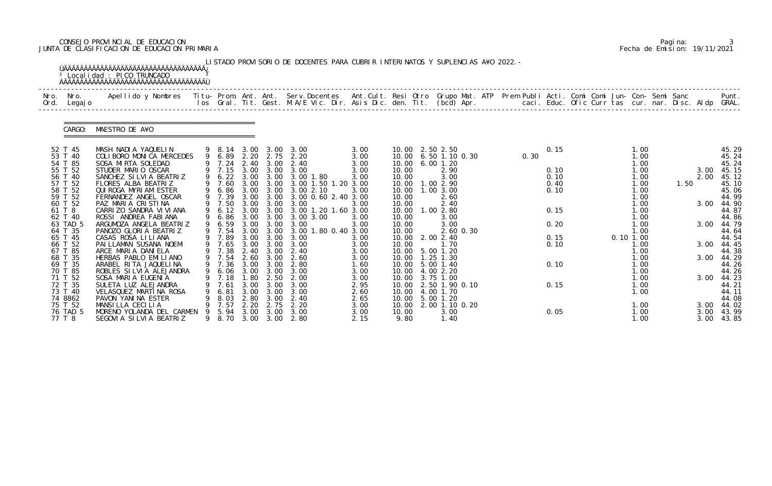## CONSEJO PROVINCIAL DE EDUCACION Pagina: 3 JUNTA DE CLASIFICACION DE EDUCACION PRIMARIA Fecha de Emision: 19/11/2021

| Nro.<br>Ord. | Nro.<br>Legaj o     | .Apellido y Nombres  Titu- Prom. Ant. Ant.  Serv.Docentes  Ant.Cult. Resi Otro  Grupo Mat. ATP  Prem Publi Acti. Comi Comi Jun- Con- Semi Sanc              Punt.<br>Ios Gral. Tit. Gest. M.A/E Vic. Dir. Asis Dic. den. Tit. (bc |   |              |              |              |                                                        |              |                |                             |      |      |          |              |      |            |                |
|--------------|---------------------|-----------------------------------------------------------------------------------------------------------------------------------------------------------------------------------------------------------------------------------|---|--------------|--------------|--------------|--------------------------------------------------------|--------------|----------------|-----------------------------|------|------|----------|--------------|------|------------|----------------|
|              | CARGO:              | MAESTRO DE A¥O                                                                                                                                                                                                                    |   |              |              |              |                                                        |              |                |                             |      |      |          |              |      |            |                |
|              | 52 T 45             | MASH NADIA YAQUELIN                                                                                                                                                                                                               |   |              |              |              | 9 8.14 3.00 3.00 3.00                                  | 3.00         |                | 10.00 2.50 2.50             |      | 0.15 |          | 1.00         |      |            | 45.29          |
|              | 53 T 40             | COLIBORO MONICA MERCEDES                                                                                                                                                                                                          |   | 9 6.89       |              |              | 2. 20 2. 75 2. 20                                      | 3.00         |                | 10.00 6.50 1.10 0.30        | 0.30 |      |          | 1.00         |      |            | 45.24          |
|              | 54 T 85<br>55 T 52  | SOSA MIRTA SOLEDAD<br>STUDER MARIO OSCAR                                                                                                                                                                                          |   |              |              |              | 9 7.24 2.40 3.00 2.40<br>9 7.15 3.00 3.00 3.00         | 3.00<br>3.00 | 10.00<br>10.00 | 6.00 1.20<br>2.90           |      | 0.10 |          | 1.00<br>1.00 |      | 3.00       | 45.24<br>45.15 |
|              | 56 T 40             | SANCHEZ SILVIA BEATRIZ                                                                                                                                                                                                            |   |              |              |              | 9 6.22 3.00 3.00 3.00 1.80                             | 3.00         | 10.00          | 3.00                        |      | 0.10 |          | 1.00         |      | 2.00       | 45.12          |
|              | 57 T 52             | FLORES ALBA BEATRIZ                                                                                                                                                                                                               |   |              |              |              | 9 7.60 3.00 3.00 3.00 1.50 1.20 3.00                   |              |                | 10.00  1.00  2.90           |      | 0.40 |          | 1.00         | 1.50 |            | 45.10          |
|              | 58 T 52             | QUIROGA MYRIAM ESTER                                                                                                                                                                                                              |   |              |              |              | 9 6.86 3.00 3.00 3.00 2.10                             | 3.00         | 10.00          | 1.003.00                    |      | 0.10 |          | 1.00         |      |            | 45.06          |
|              | 59 T 52             | FERNANDEZ ANGEL OSCAR                                                                                                                                                                                                             |   | 9 7.39       |              | 3.00 3.00    | 3.00 0.60 2.40 3.00                                    |              | 10.00          | 2.60                        |      |      |          | 1.00         |      |            | 44.99          |
|              | 60 T 52             | PAZ MARIA CRISTINA                                                                                                                                                                                                                |   |              |              |              | 9 7.50 3.00 3.00 3.00                                  | 3.00         | 10.00          | 2.40                        |      |      |          | 1.00         |      | 3.00       | 44.90          |
|              | 61 T 8              | CARRIZO SANDRA VIVIANA                                                                                                                                                                                                            |   |              |              |              | 9 6.12 3.00 3.00 3.00 1.20 1.60 3.00                   |              | 10.00          | 1.00 2.80                   |      | 0.15 |          | 1.00         |      |            | 44.87          |
|              | 62 T 40             | ROSSI ANDREA FABIANA                                                                                                                                                                                                              |   | 9 6.86       |              |              | 3.00 3.00 3.00 3.00                                    | 3.00         | 10.00          | 3.00                        |      |      |          | 1.00         |      |            | 44.86          |
|              | 63 TAD 5<br>64 T 35 | ARGUMOZA ANGELA BEATRIZ<br>PANOZO GLORIA BEATRIZ                                                                                                                                                                                  |   | 9 7.54       |              |              | 9 6.59 3.00 3.00 3.00<br>3.00 3.00 3.00 1.80 0.40 3.00 | 3.00         | 10.00<br>10.00 | 3.00<br>2.60 0.30           |      | 0.20 |          | 1.00<br>1.00 |      | 3.00 44.79 | 44.64          |
|              | 65 T 45             | CASAS ROSA LILIANA                                                                                                                                                                                                                |   | 9 7.89       |              | 3.00 3.00    | 3.00                                                   | 3.00         | 10.00          | 2.00 2.40                   |      | 0.15 | 0.101.00 |              |      |            | 44.54          |
|              | 66 T 52             | PAI LLAMAN SUSANA NOEMI                                                                                                                                                                                                           |   |              |              |              | 9 7.65 3.00 3.00 3.00                                  | 3.00         | 10.00          | 1.70                        |      | 0.10 |          | 1.00         |      | 3.00 44.45 |                |
|              | 67 T 85             | ARCE MARIA DANIELA                                                                                                                                                                                                                |   | 9 7.38       |              | 2.40 3.00    | 2.40                                                   | 3.00         | 10.00          | 5.00 1.20                   |      |      |          | 1.00         |      |            | 44.38          |
|              | 68 T 35             | HERBAS PABLO EMILIANO                                                                                                                                                                                                             |   |              |              |              | 9 7.54 2.60 3.00 2.60                                  | 3.00         |                | 10.00  1.25  1.30           |      |      |          | 1.00         |      | 3.00 44.29 |                |
|              | 69 T 35             | ARABEL RITA JAQUELINA                                                                                                                                                                                                             |   |              |              |              | 9 7.36 3.00 3.00 2.80                                  | 1.60         |                | 10.00 5.00 1.40             |      | 0.10 |          | 1.00         |      |            | 44.26          |
|              | 70 T 85             | ROBLES SILVIA ALEJANDRA                                                                                                                                                                                                           |   |              |              |              | 9 6.06 3.00 3.00 3.00                                  | 3.00         |                | 10.00 4.00 2.20             |      |      |          | 1.00         |      |            | 44.26          |
|              | 71 T 52             | SOSA MARIA EUGENIA                                                                                                                                                                                                                |   | 7. 18        | . 80         | 2.50         | 2.00                                                   | 3.00         | 10.00          | 3.75 1.00                   |      |      |          | 1.00         |      | 3.00 44.23 |                |
|              | 72 T 35             | SULETA LUZ ALEJANDRA                                                                                                                                                                                                              |   | 7.61         | 3.00         | 3.00         | 3.00                                                   | 2.95         | 10.00          | 2.50 1.90 0.10              |      | 0.15 |          | 1.00         |      |            | 44.21          |
|              | 73 T 40             | VELASQUEZ MARTINA ROSA                                                                                                                                                                                                            |   | 6.81         | 3.00         | 3.00         | 3.00                                                   | 2.60         | 10.00          | 4.00 1.70                   |      |      |          | 1.00         |      |            | 44.11          |
|              | 74 8862<br>75 T 52  | PAVON YANINA ESTER<br>MANSILLA CECILIA                                                                                                                                                                                            |   | 8.03<br>7.57 | 2.80<br>2.20 | 3.00<br>2.75 | 2.40<br>2.20                                           | 2.65         | 10.00<br>10.00 | 5.00 1.20<br>2.00 1.10 0.20 |      |      |          |              |      | 3.00 44.02 | 44.08          |
|              | 76 TAD 5            | MORENO YOLANDA DEL CARMEN                                                                                                                                                                                                         |   | 5.94         | 3.00         | 3.00         | 3.00                                                   | 3.00<br>3.00 | 10.00          | 3.00                        |      | 0.05 |          | 1.00<br>1.00 |      | 3.00       | 43.99          |
|              | 77 T 8              | SEGOVIA SILVIA BEATRIZ                                                                                                                                                                                                            | 9 | 8.70         | 3.00         | 3.00         | 2.80                                                   | 2.15         | 9.80           | 1.40                        |      |      |          | 1.00         |      | 3.00       | 43.85          |

|  | Pagi na: |                              |
|--|----------|------------------------------|
|  |          | Fecha de Emision: 19/11/2021 |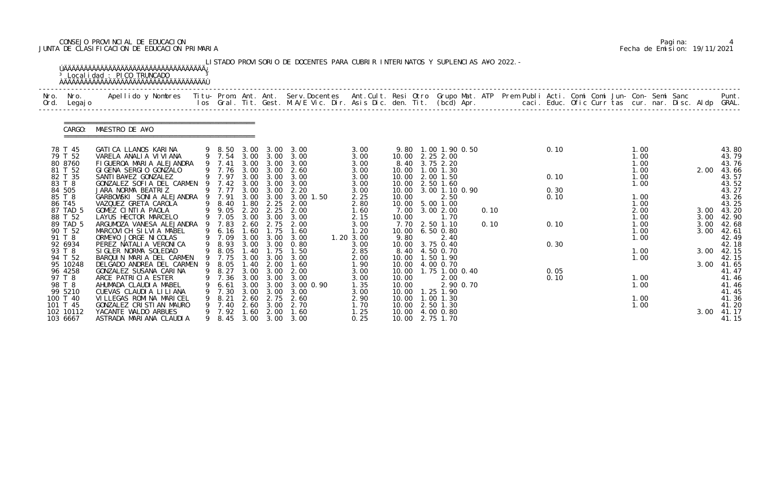## CONSEJO PROVINCIAL DE EDUCACION Pagina: 4 JUNTA DE CLASIFICACION DE EDUCACION PRIMARIA Fecha de Emision: 19/11/2021

|              |                                               | <sup>3</sup> Localidad : PICO TRUNCADO<br><b>AAAAAAAAAAAAAAAAAAAAAAAAAAAAAAAAAAAA</b>                                                          |                                      |                              |                                        | LISTADO PROVISORIO DE DOCENTES PARA CUBRIR INTERINATOS Y SUPLENCIAS A¥O 2022. -                                                |                                   |                         |                                                                                 |      |              |  |                              |  |              |                                  |
|--------------|-----------------------------------------------|------------------------------------------------------------------------------------------------------------------------------------------------|--------------------------------------|------------------------------|----------------------------------------|--------------------------------------------------------------------------------------------------------------------------------|-----------------------------------|-------------------------|---------------------------------------------------------------------------------|------|--------------|--|------------------------------|--|--------------|----------------------------------|
| Nro.<br>Ord. | Nro.<br>Legaj o                               | Apellido y Nombres - Titu- Prom. Ant. Ant. Serv.Docentes - Ant.Cult. Resi Otro Grupo Mat. ATP - Prem Publi Acti. Comi Comi Jun- Con- Semi Sanc |                                      |                              |                                        | los Gral. Tit. Gest. M.A/E Vic. Dir. Asis Dic. den. Tit. (bcd) Apr.       caci. Educ. Ofic Curr tas cur. nar. Disc. Aldp GRAL. |                                   |                         |                                                                                 |      |              |  |                              |  |              | Punt.                            |
|              | CARGO:                                        | MAESTRO DE A¥O                                                                                                                                 |                                      |                              |                                        |                                                                                                                                |                                   |                         |                                                                                 |      |              |  |                              |  |              |                                  |
|              | 78 T 45<br>79 T 52<br>80 8760                 | GATICA LLANOS KARINA<br>VARELA ANALIA VIVIANA<br>FIGUEROA MARIA ALEJANDRA                                                                      | 9 7.54<br>9 7.41                     | 3.00                         | 3.00                                   | 9 8.50 3.00 3.00 3.00<br>3.00<br>3.00 3.00 3.00                                                                                | 3.00<br>3.00<br>3.00              |                         | 9.80 1.00 1.90 0.50<br>10.00 2.25 2.00<br>8.40 3.75 2.20                        |      | 0.10         |  | 1.00<br>1.00<br>1.00         |  |              | 43.80<br>43.79<br>43.76          |
|              | 81 T 52<br>82 T 35<br>83 T 8<br>84 505        | GIGENA SERGIO GONZALO<br>SANTI BA¥EZ GONZALEZ<br>GONZALEZ SOFIA DEL CARMEN 9 7.42 3.00<br>JARA NORMA BEATRIZ                                   | 9 7.76<br>9 7.97<br>9 7.77           | 3.00                         | 3.00 3.00<br>3.00<br>3.00<br>3.00 3.00 | 2.60<br>3.00<br>3.00<br>2.20                                                                                                   | 3.00<br>3.00<br>3.00<br>3.00      |                         | 10.00  1.00  1.30<br>10.00 2.00 1.50<br>10.00 2.50 1.60<br>10.00 3.00 1.10 0.90 |      | 0.10<br>0.30 |  | 1.00<br>1.00<br>1.00         |  | 2.00         | 43.66<br>43.57<br>43.52<br>43.27 |
|              | 85 T 8<br>86 T45<br>87 TAD 5<br>88 T 52       | GARBOWSKI SONIA ALEJANDRA 9<br>VAZQUEZ GRETA CAROLA<br>GOMEZ CINTIA PAOLA<br>LAYUS HECTOR MARCELO                                              | 7.91<br>9 8.40<br>9 9.05<br>9 7.05   | 3.00<br>1.80<br>2.20<br>3.00 | 3.00<br>2.25<br>3.00                   | 3.00 1.50<br>2.25 2.00<br>2.00<br>3.00                                                                                         | 2.25<br>2.80<br>1.60<br>2.15      | 10.00<br>10.00          | 2.50<br>10.00 5.00 1.00<br>7.00 3.00 2.00<br>1.70                               | 0.10 | 0.10         |  | 1.00<br>1.00<br>2.00<br>1.00 |  | 3.00<br>3.00 | 43.26<br>43.25<br>43.20<br>42.90 |
|              | 89 TAD 5<br>90 T 52<br>91 T 8<br>92 6934      | ARGUMOZA VANESA ALEJANDRA<br>MARCOVICH SILVIA MABEL<br>ORME¥O JORGE NICOLAS<br>PEREZ NATALIA VERONICA                                          | 9 7.83<br>9 6.16<br>9 7.09<br>9 8.93 | 2.60<br>1.60<br>3.00         | 2.75<br>1.75<br>3.00                   | 2.00<br>1.60<br>3.00<br>3.00 3.00 0.80                                                                                         | 3.00<br>1.20<br>1.20 3.00<br>3.00 | 9.80                    | 7.70 2.50 1.10<br>10.00 6.50 0.80<br>2.40<br>10.00 3.75 0.40                    | 0.10 | 0.10<br>0.30 |  | 1.00<br>1.00<br>1.00         |  | 3.00<br>3.00 | 42.68<br>42.61<br>42.49<br>42.18 |
|              | 93 T 8<br>94 T 52<br>95 10248                 | SIGLER NORMA SOLEDAD<br>BARQUIN MARIA DEL CARMEN<br>DELGADO ANDREA DEL CARMEN                                                                  | 9 8.05<br>9 7.75<br>9 8.05           | 1.40<br>3.00<br>1.40         | 1.75<br>3.00<br>2.00                   | 1.50<br>3.00<br>1.60                                                                                                           | 2.85<br>2.00<br>1.90              |                         | 8.40 4.50 0.70<br>10.00  1.50  1.90<br>10.00 4.00 0.70                          |      |              |  | 1.00<br>1.00                 |  | 3.00<br>3.00 | 42.15<br>42.15<br>41.65          |
|              | 96 4258<br>97 T 8<br>98 T 8<br>99 5210        | GONZALEZ SUSANA CARINA<br>ARCE PATRICIA ESTER<br>AHUMADA CLAUDIA MABEL<br>CUEVAS CLAUDIA LILIANA                                               | 9 8.27<br>7. 36<br>6.61<br>7.30      | 3.00<br>3.00<br>3.00         | 3.00 3.00<br>3.00<br>3.00<br>3.00      | 2.00<br>3.00<br>3.00 0.90<br>3.00                                                                                              | 3.00<br>3.00<br>1.35<br>3.00      | 10.00<br>10.00<br>10.00 | 10.00  1.75  1.00  0.40<br>2.00<br>2.90 0.70<br>1.25 1.90                       |      | 0.05<br>0.10 |  | 1.00<br>1.00                 |  |              | 41.47<br>41.46<br>41.46<br>41.45 |
|              | 100 T 40<br>101 T 45<br>102 10112<br>103 6667 | VILLEGAS ROMINA MARICEL<br>GONZALEZ CRISTIAN MAURO<br>YACANTE WALDO ARBUES<br>ASTRADA MARIANA CLAUDIA                                          | 8.21<br>7.40<br>7.92<br>8.45         | 2.60<br>2.60<br>1.60<br>3.00 | 2.75<br>3.00<br>2.00<br>3.00           | 2.60<br>2.70<br>1.60<br>3.00                                                                                                   | 2.90<br>1.70<br>1.25<br>0.25      | 10.00<br>10.00          | 1.00 1.30<br>2.50 1.30<br>10.00 4.00 0.80<br>10.00 2.75 1.70                    |      |              |  | 1.00<br>1.00                 |  | 3.00         | 41.36<br>41.20<br>41.17<br>41.15 |

|  | Pagi na: |                              |
|--|----------|------------------------------|
|  |          | Fecha de Emision: 19/11/2021 |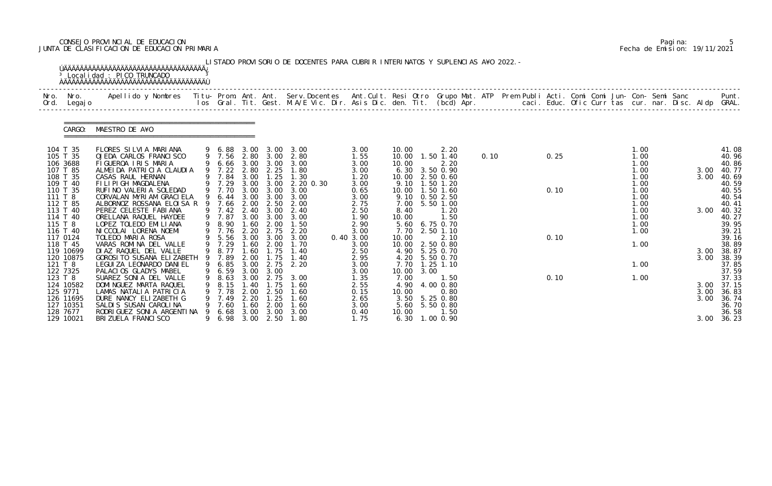## CONSEJO PROVINCIAL DE EDUCACION Pagina: 5 JUNTA DE CLASIFICACION DE EDUCACION PRIMARIA Fecha de Emision: 19/11/2021

| Nro.<br>Ord.                                                                                                                                                       | Nro.<br>Legaj o                                               |                                                                                                                                                                                                                                                                                                                                                                                                                 |         |                                                                                                                                            |                                                                                                              |                                                                                                                           |                                                                                                                                                    |                                                                                                                                   |                                                                                                                                      |      |                                                                                                                                                                                        |      |                      |  |                                                                                                              |  |                                      |                                                                                                                                              |
|--------------------------------------------------------------------------------------------------------------------------------------------------------------------|---------------------------------------------------------------|-----------------------------------------------------------------------------------------------------------------------------------------------------------------------------------------------------------------------------------------------------------------------------------------------------------------------------------------------------------------------------------------------------------------|---------|--------------------------------------------------------------------------------------------------------------------------------------------|--------------------------------------------------------------------------------------------------------------|---------------------------------------------------------------------------------------------------------------------------|----------------------------------------------------------------------------------------------------------------------------------------------------|-----------------------------------------------------------------------------------------------------------------------------------|--------------------------------------------------------------------------------------------------------------------------------------|------|----------------------------------------------------------------------------------------------------------------------------------------------------------------------------------------|------|----------------------|--|--------------------------------------------------------------------------------------------------------------|--|--------------------------------------|----------------------------------------------------------------------------------------------------------------------------------------------|
|                                                                                                                                                                    | CARGO:                                                        | MAESTRO DE A¥O                                                                                                                                                                                                                                                                                                                                                                                                  |         |                                                                                                                                            |                                                                                                              |                                                                                                                           |                                                                                                                                                    |                                                                                                                                   |                                                                                                                                      |      |                                                                                                                                                                                        |      |                      |  |                                                                                                              |  |                                      |                                                                                                                                              |
| 104 T 35<br>105 T 35<br>106 3688<br>107 T 85<br>108 T 35<br>110 T 35<br>111 T 8<br>112 T 85<br>113 T 40<br>114 T 40<br>115 T 8<br>116 T 40<br>117 0124<br>118 T 45 | 109 T 40<br>119 10699                                         | FLORES SILVIA MARIANA<br>OJEDA CARLOS FRANCISCO<br>FIGUEROA IRIS MARIA<br>ALMEIDA PATRICIA CLAUDIA<br>CASAS RAUL HERNAN<br>FILIPIGH MAGDALENA<br>RUFINO VALERIA SOLEDAD<br>CORVALAN MYRIAM GRACIELA<br>ALBORNOZ ROSSANA ELOISA R<br>PEREZ CELESTE FABIANA<br>ORELLANA RAQUEL HAYDEE<br>LOPEZ TOLEDO EMILIANA<br>NI CCOLAI LORENA NOEMI<br>TOLEDO MARIA ROSA<br>VARAS ROMINA DEL VALLE<br>DI AZ RAQUEL DEL VALLE | -9      | 9 6.88<br>9 7.56<br>$9$ 7.22<br>7.84<br>9 7.29<br>9 7.70<br>6.44<br>7.66<br>9 7.42<br>9 7.87<br>8.90<br>9 7.76<br>5.56<br>9 7.29<br>9 8.77 | 2.80<br>2.80<br>3.00<br>3.00<br>3.00<br>3.00<br>2.00<br>2.40<br>3.00<br>1.60<br>2.20<br>3.00<br>1.60<br>1.60 | 3.00 3.00<br>3.00<br>2.25<br>1.25<br>3.00<br>3.00<br>3.00<br>2.50<br>3.00<br>3.00<br>2.00<br>2.75<br>3.00<br>2.00<br>1.75 | 3.00<br>2.80<br>9 6.66 3.00 3.00 3.00<br>1.80<br>1.30<br>2.20 0.30<br>3.00<br>3.00<br>2.00<br>2.40<br>3.00<br>1.50<br>2.20<br>3.00<br>1.70<br>1.40 | 3.00<br>1.55<br>3.00<br>3.00<br>1.20<br>3.00<br>0.65<br>3.00<br>2.75<br>2.50<br>1.90<br>2.90<br>3.00<br>0.40 3.00<br>3.00<br>2.50 | 10.00<br>10.00<br>10.00<br>6.30<br>10.00<br>9.10<br>10.00<br>9.10<br>7.00<br>8.40<br>10.00<br>5.60<br>7.70<br>10.00<br>10.00<br>4.90 |      | 2.20<br>1.50 1.40<br>2.20<br>3.50 0.90<br>2.50 0.60<br>$1.50$ $1.20$<br>1.50 1.60<br>0.502.50<br>5.50 1.00<br>1.20<br>1.50<br>6.75 0.70<br>2.50 1.10<br>2.10<br>2.50 0.80<br>5.25 0.70 | 0.10 | 0.25<br>0.10<br>0.10 |  | 1.00<br>1.00<br>1.00<br>1.00<br>1.00<br>1.00<br>1.00<br>1.00<br>1.00<br>1.00<br>1.00<br>1.00<br>1.00<br>1.00 |  | 3.00<br>3.00<br>3.00<br>3.00         | 41.08<br>40.96<br>40.86<br>40.77<br>40.69<br>40.59<br>40.55<br>40.54<br>40.41<br>40.32<br>40.27<br>39.95<br>39.21<br>39.16<br>38.89<br>38.87 |
| 121 T 8<br>122 7325<br>123 T 8<br>125 9771<br>128 7677                                                                                                             | 120 10875<br>124 10582<br>126 11695<br>127 10351<br>129 10021 | GOROSI TO SUSANA ELIZABETH<br>LEGUI ZA LEONARDO DANI EL<br>PALACIOS GLADYS MABEL<br>SUAREZ SONIA DEL VALLE<br>DOMI NGUEZ MARTA RAQUEL<br>LAMAS NATALIA PATRICIA<br>DURE NANCY ELIZABETH G<br>SALDIS SUSAN CAROLINA<br>RODRI GUEZ SONI A ARGENTI NA<br>BRI ZUELA FRANCI SCO                                                                                                                                      | -9<br>9 | 7.89<br>9 6.85 3.00<br>9 6.59<br>8.63<br>8.15<br>7.78<br>7.49<br>7.60<br>6.68<br>6.98                                                      | 2.00<br>3.00<br>3.00<br>. 40<br>2.00<br>2.20<br>.60<br>3.00<br>3.00                                          | 1.75<br>2.75<br>3.00<br>2.75<br>. 75<br>2.50<br>1.25<br>2.00<br>3.00<br>2.50                                              | 1.40<br>2.20<br>3.00<br>1.60<br>1.60<br>1.60<br>1.60<br>3.00<br>1.80                                                                               | 2.95<br>3.00<br>3.00<br>1. 35<br>2.55<br>0.15<br>2.65<br>3.00<br>0.40<br>1.75                                                     | 4.20<br>7.70<br>10.00<br>7.00<br>4.90<br>10.00<br>3.50<br>5.60<br>10.00<br>6.30                                                      | 3.00 | 5.50 0.70<br>$1.25$ 1.10<br>1.50<br>4.00 0.80<br>0.80<br>5.25 0.80<br>5.50 0.80<br>1.50<br>1.00 0.90                                                                                   |      | 0.10                 |  | 1.00<br>1.00                                                                                                 |  | 3.00<br>3.00<br>3.00<br>3.00<br>3.00 | 38.39<br>37.85<br>37.59<br>37.33<br>37.15<br>36.83<br>36.74<br>36.70<br>36.58<br>36.23                                                       |

|  | Pagi na: |                              |
|--|----------|------------------------------|
|  |          | Fecha de Emision: 19/11/2021 |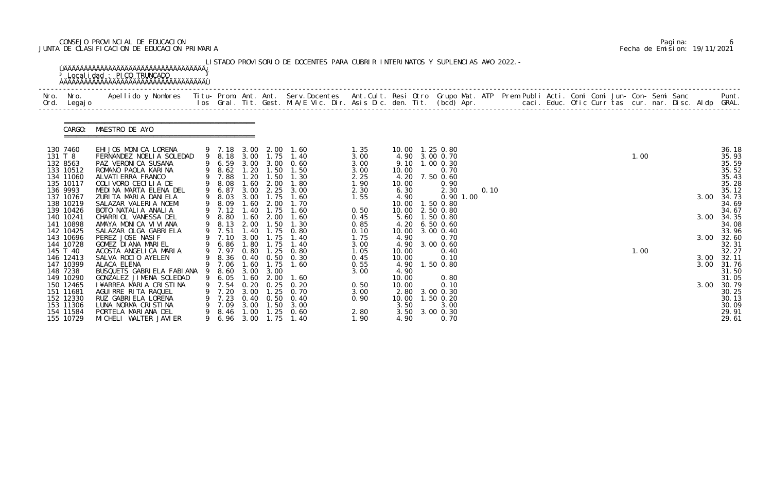## CONSEJO PROVINCIAL DE EDUCACION Pagina: 6 JUNTA DE CLASIFICACION DE EDUCACION PRIMARIA Fecha de Emision: 19/11/2021

| Nro. Nro.<br>Ord. Legajo | Apellido y Nombres  Titu- Prom. Ant. Ant.  Serv.Docentes  Ant.Cult. Resi Otro  Grupo Mat. ATP  Prem Publi Acti. Comi Comi Jun- Con- Semi Sanc                Punt.<br>Ios Gral. Tit. Gest. M.A/E Vic. Dir. Asis Dic. den. Tit. (b |                       |              |                  |                               |              |                |                                     |              |             |      |  |  |  |      |  |      |                |
|--------------------------|-----------------------------------------------------------------------------------------------------------------------------------------------------------------------------------------------------------------------------------|-----------------------|--------------|------------------|-------------------------------|--------------|----------------|-------------------------------------|--------------|-------------|------|--|--|--|------|--|------|----------------|
| CARGO:                   | MAESTRO DE A¥O                                                                                                                                                                                                                    |                       |              |                  |                               |              |                |                                     |              |             |      |  |  |  |      |  |      |                |
| 130 7460<br>131 T 8      | EHIJOS MONICA LORENA<br>FERNANDEZ NOELIA SOLEDAD                                                                                                                                                                                  |                       |              | 9 8.18 3.00 1.75 | 9 7.18 3.00 2.00 1.60<br>1.40 | 1.35<br>3.00 |                | 10.00  1.25  0.80<br>4.90 3.00 0.70 |              |             |      |  |  |  | 1.00 |  |      | 36.18<br>35.93 |
| 132 8563                 | PAZ VERONICA SUSANA                                                                                                                                                                                                               |                       |              |                  | 9 6.59 3.00 3.00 0.60         | 3.00         |                | 9.10 1.00 0.30                      |              |             |      |  |  |  |      |  |      | 35.59          |
| 133 10512                | ROMANO PAOLA KARINA                                                                                                                                                                                                               |                       |              | 9 8.62 1.20 1.50 | 1.50                          | 3.00         | 10.00          |                                     | 0.70         |             |      |  |  |  |      |  |      | 35.52          |
| 134 11060                | ALVATI ERRA FRANCO                                                                                                                                                                                                                | 9 7.88                | 1.20         | 1.50             | 1.30                          | 2.25         |                | 4.20 7.50 0.60                      |              |             |      |  |  |  |      |  |      | 35.43          |
| 135 10117<br>136 9993    | COLIVORO CECILIA DE<br>MEDINA MARTA ELENA DEL                                                                                                                                                                                     | 9 8.08<br>9 6.87      | 1.60<br>3.00 | 2.00<br>2.25     | 1.80<br>3.00                  | 1.90<br>2.30 | 10.00<br>6.30  |                                     | 0.90<br>2.30 |             | 0.10 |  |  |  |      |  |      | 35.28<br>35.12 |
| 137 10767                | ZURITA MARIA DANIELA                                                                                                                                                                                                              | 9 8.03                | 3.00         | 1.75             | 1.60                          | 1.55         | 4.90           |                                     |              | $0.90$ 1.00 |      |  |  |  |      |  | 3.00 | 34.73          |
| 138 10219                | SALAZAR VALERIA NOEMI                                                                                                                                                                                                             | 9 8.09                | 1.60         | 2.00             | 1.70                          |              |                | 10.00  1.50  0.80                   |              |             |      |  |  |  |      |  |      | 34.69          |
| 139 10426                | BOTO NATALIA ANALIA                                                                                                                                                                                                               | 9 7.12                | 1.40         | 1.75             | 1.60                          | 0.50         |                | 10.00 2.50 0.80                     |              |             |      |  |  |  |      |  |      | 34.67          |
| 140 10241                | CHARRIOL VANESSA DEL                                                                                                                                                                                                              | 9 8.80                | 1.60         | 2.00             | 1.60                          | 0.45         |                | 5.60 1.50 0.80                      |              |             |      |  |  |  |      |  |      | 3.00 34.35     |
| 141 10898<br>142 10425   | AMAYA MONICA VIVIANA                                                                                                                                                                                                              | 9 8.13 2.00<br>9 7.51 | 1.40         | 1.50<br>1.75     | 1.30                          | 0.85         |                | 4.20 6.50 0.60                      |              |             |      |  |  |  |      |  |      | 34.08<br>33.96 |
| 143 10696                | SALAZAR OLGA GABRI ELA<br>PEREZ JOSE NASIF                                                                                                                                                                                        | 9 7.10                | 3.00         | 1.75             | 0.80<br>1.40                  | 0.10<br>1.75 | 4.90           | 10.00 3.00 0.40                     | 0.70         |             |      |  |  |  |      |  | 3.00 | 32.60          |
| 144 10728                | GOMEZ DI ANA MARIEL                                                                                                                                                                                                               | 9 6.86 1.80           |              | 1.75             | 1.40                          | 3.00         |                | 4.90 3.00 0.60                      |              |             |      |  |  |  |      |  |      | 32.31          |
| 145 T 40                 | ACOSTA ANGELICA MARIA                                                                                                                                                                                                             | 9 7.97                |              |                  | 0.80 1.25 0.80                | 1.05         | 10.00          |                                     | 0.40         |             |      |  |  |  | 1.00 |  |      | 32.27          |
| 146 12413                | SALVA ROCIO AYELEN                                                                                                                                                                                                                |                       |              | 9 8.36 0.40 0.50 | 0.30                          | 0.45         | 10.00          |                                     | 0.10         |             |      |  |  |  |      |  |      | 3.00 32.11     |
| 147 10399                | ALACA ELENA                                                                                                                                                                                                                       |                       |              | 9 7.06 1.60 1.75 | 1.60                          | 0.55         |                | 4.90 1.50 0.80                      |              |             |      |  |  |  |      |  | 3.00 | 31.76          |
| 148 7238                 | BUSQUETS GABRIELA FABIANA 9 8.60 3.00 3.00                                                                                                                                                                                        |                       |              |                  |                               | 3.00         | 4.90           |                                     |              |             |      |  |  |  |      |  |      | 31.50          |
| 149 10290<br>150 12465   | GONZALEZ JIMENA SOLEDAD<br>I¥ARREA MARIA CRISTINA                                                                                                                                                                                 | 6.05<br>-7.54         | 1.60<br>0.20 | 2.00<br>0.25     | 1. 60<br>0. 20                |              | 10.00<br>10.00 |                                     | 0.80<br>0.10 |             |      |  |  |  |      |  |      | 31.05<br>30.79 |
| 151 11681                | AGUIRRE RITA RAQUEL                                                                                                                                                                                                               | 7.20                  | 3.00         | . 25             | 0.70                          | 0.50<br>3.00 | 2.80           |                                     | 3.00 0.30    |             |      |  |  |  |      |  | 3.00 | 30.25          |
| 152 12330                | RUZ GABRIELA LORENA                                                                                                                                                                                                               | 7.23                  | 0.40         | 0.50             | 0.40                          | 0.90         | 10.00          |                                     | $.50$ 0.20   |             |      |  |  |  |      |  |      | 30.13          |
| 153 11306                | LUNA NORMA CRISTINA                                                                                                                                                                                                               | 7.09                  | 3.00         | 1.50             | 3.00                          |              | 3.50           |                                     | 3.00         |             |      |  |  |  |      |  |      | 30.09          |
| 154 11584                | PORTELA MARIANA DEL                                                                                                                                                                                                               | 8.46                  | .00          | . 25             | 0.60                          | 2.80         | 3.50           |                                     | 3.00 0.30    |             |      |  |  |  |      |  |      | 29.91          |
| 155 10729                | MI CHELI WALTER JAVI ER                                                                                                                                                                                                           | 6.96                  | 3.00         | 1.75             | 1.40                          | 1.90         | 4.90           |                                     | 0.70         |             |      |  |  |  |      |  |      | 29.61          |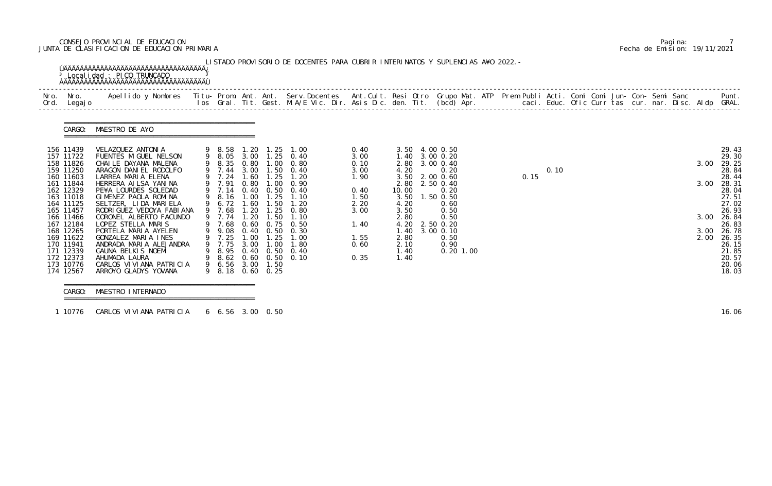# CONSEJO PROVINCIAL DE EDUCACION Pagina: 7 JUNTA DE CLASIFICACION DE EDUCACION PRIMARIA Fecha de Emision: 19/11/2021

| Nro. | Nro.<br>Ord. Legajo    | Apellido y Nombres - Titu- Prom. Ant. Ant. Serv.Docentes - Ant.Cult. Resi Otro Grupo Mat. ATP Prem Publi Acti. Comi Comi Jun- Con- Semi Sanc - - - Punt.<br>Ios Gral. Tit. Gest. M.A/E Vic. Dir. Asis Dic. den. Tit. (bcd) Apr. - |                       |            |              |                                |              |                        |                   |  |      |      |  |  |  |      |                |
|------|------------------------|-----------------------------------------------------------------------------------------------------------------------------------------------------------------------------------------------------------------------------------|-----------------------|------------|--------------|--------------------------------|--------------|------------------------|-------------------|--|------|------|--|--|--|------|----------------|
|      | CARGO:                 | MAESTRO DE A¥O                                                                                                                                                                                                                    |                       |            |              |                                |              |                        |                   |  |      |      |  |  |  |      |                |
|      | 156 11439              | VELAZQUEZ ANTONIA                                                                                                                                                                                                                 | 9 8.58                | 1. 20      |              | $1.25$ 1.00                    | 0.40         | 3.50 4.00 0.50         |                   |  |      |      |  |  |  |      | 29.43          |
|      | 157 11722<br>158 11826 | FUENTES MIGUEL NELSON<br>CHAILE DAYANA MALENA                                                                                                                                                                                     | 9 8.05<br>9 8.35 0.80 | 3.00       |              | $1.25 \quad 0.40$<br>1.00 0.80 | 3.00<br>0.10 | 1.40<br>2.80 3.00 0.40 | 3.00 0.20         |  |      |      |  |  |  | 3.00 | 29.30<br>29.25 |
|      | 159 11250              | ARAGON DANIEL RODOLFO                                                                                                                                                                                                             | 9 7.44 3.00           |            | 1.50         | 0.40                           | 3.00         | 4.20                   | 0.20              |  |      | 0.10 |  |  |  |      | 28.84          |
|      | 160 11603              | LARREA MARIA ELENA                                                                                                                                                                                                                | 9 7.24                | 1.60       | 1.25         | 1.20                           | 1.90         | 3.50                   | 2.00 0.60         |  | 0.15 |      |  |  |  |      | 28.44          |
|      | 161 11844              | HERRERA AI LSA YANI NA                                                                                                                                                                                                            | 7.91                  | 0.80       | 1.00         | 0.90                           |              | 2.80                   | 2.50 0.40         |  |      |      |  |  |  | 3.00 | 28.31          |
|      | 162 12329              | PE¥A LOURDES SOLEDAD                                                                                                                                                                                                              | 9 7.14                |            |              | 0.40 0.50 0.40                 | 0.40         | 10.00                  | 0.20              |  |      |      |  |  |  |      | 28.04          |
|      | 163 11018              | GIMENEZ PAOLA ROMINA                                                                                                                                                                                                              | 9 8.16                | 1.00       | 1.25         | 1.10                           | 1.50         | 3.50                   | 1.50 0.50         |  |      |      |  |  |  |      | 27.51          |
|      | 164 11125              | SELTZER, LIDA MARIELA                                                                                                                                                                                                             | 9 6.72                | 1.60       | 1.50         | 1.20                           | 2.20         | 4.20                   | 0.60              |  |      |      |  |  |  |      | 27.02          |
|      | 165 11457<br>166 11466 | RODRI GUEZ VEDOYA FABI ANA<br>CORONEL ALBERTO FACUNDO                                                                                                                                                                             | 7.68                  | 20<br>1.20 | 1.25         | 0.80<br>1.10                   | 3.00         | 3.50                   | 0.50              |  |      |      |  |  |  | 3.00 | 26.93          |
|      | 167 12184              | LOPEZ STELLA MARIS                                                                                                                                                                                                                | 9 7.74<br>9 7.68      | 0.60       | 1.50<br>0.75 | 0.50                           | 1.40         | 2.80<br>4.20           | 0.50<br>2.50 0.20 |  |      |      |  |  |  |      | 26.84<br>26.83 |
|      | 168 12265              | PORTELA MARIA AYELEN                                                                                                                                                                                                              | 9.08                  | 0.40       | 0.50         | 0.30                           |              | 1.40                   | 3.00 0.10         |  |      |      |  |  |  | 3.00 | 26.78          |
|      | 169 11622              | GONZALEZ MARIA INES                                                                                                                                                                                                               | 9 7.25                | 1.00       | 1.25         | 1.00                           | 1.55         | 2.80                   | 0.50              |  |      |      |  |  |  | 2.00 | 26.35          |
|      | 170 11941              | ANDRADA MARIA ALEJANDRA                                                                                                                                                                                                           | 9 7.75                | 3.00       | 1.00         | 1.80                           | 0.60         | 2.10                   | 0.90              |  |      |      |  |  |  |      | 26.15          |
|      | 171 12339              | GAUNA BELKIS NOEMI                                                                                                                                                                                                                | 8.95                  |            |              | $0.40 \quad 0.50 \quad 0.40$   |              | 1.40                   | $0.20$ 1.00       |  |      |      |  |  |  |      | 21.85          |
|      | 172 12373              | AHUMADA LAURA                                                                                                                                                                                                                     |                       |            |              | 9 8.62 0.60 0.50 0.10          | 0.35         | 1.40                   |                   |  |      |      |  |  |  |      | 20.57          |
|      | 173 10776              | CARLOS VI VI ANA PATRI CI A                                                                                                                                                                                                       | 9 6.56 3.00           |            | 1.50         |                                |              |                        |                   |  |      |      |  |  |  |      | 20.06          |
|      | 174 12567              | ARROYO GLADYS YOVANA                                                                                                                                                                                                              | 9 8.18                | 0.60       | 0.25         |                                |              |                        |                   |  |      |      |  |  |  |      | 18.03          |

 =============================================== CARGO: MAESTRO INTERNADO

===============================================

1 10776 CARLOS VI VI ANA PATRICIA 6 6.56 3.00 0.50 16.06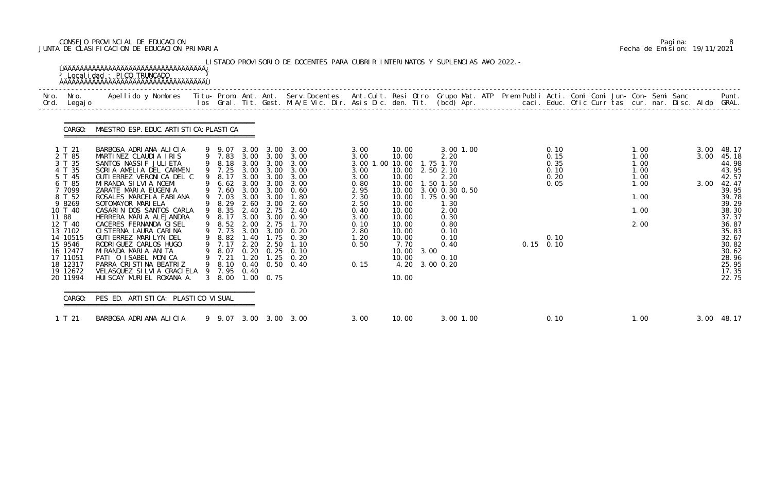## CONSEJO PROVINCIAL DE EDUCACION Pagina: 8 JUNTA DE CLASIFICACION DE EDUCACION PRIMARIA Fecha de Emision: 19/11/2021

| Nro.<br>Nro.<br>Ord.<br>Legaj o                                                                                                                                                                                     | Apellido y Nombres  Titu- Prom. Ant. Ant. Serv.Docentes  Ant.Cult. Resi Otro Grupo Mat. ATP Prem Publi Acti. Comi Comi Jun- Con- Semi Sanc         Punt.<br>Ios Gral. Tit. Gest. M.A/E Vic. Dir. Asis Dic. den. Tit. (bcd) Apr.                                                                                                                                                                                                                                                                                                                        |                                                                                                                                                                                             |                                                                              |                                                                           |                                                                                                                                                                                                                                              |                                                                                                                                         |                                                                                                                                                                   |                                                                   |                                                                                                             |  |                                                                     |  |                                                                      |                      |                                                                                                                                                                                  |
|---------------------------------------------------------------------------------------------------------------------------------------------------------------------------------------------------------------------|--------------------------------------------------------------------------------------------------------------------------------------------------------------------------------------------------------------------------------------------------------------------------------------------------------------------------------------------------------------------------------------------------------------------------------------------------------------------------------------------------------------------------------------------------------|---------------------------------------------------------------------------------------------------------------------------------------------------------------------------------------------|------------------------------------------------------------------------------|---------------------------------------------------------------------------|----------------------------------------------------------------------------------------------------------------------------------------------------------------------------------------------------------------------------------------------|-----------------------------------------------------------------------------------------------------------------------------------------|-------------------------------------------------------------------------------------------------------------------------------------------------------------------|-------------------------------------------------------------------|-------------------------------------------------------------------------------------------------------------|--|---------------------------------------------------------------------|--|----------------------------------------------------------------------|----------------------|----------------------------------------------------------------------------------------------------------------------------------------------------------------------------------|
| CARGO:                                                                                                                                                                                                              | MAESTRO ESP. EDUC. ARTI STI CA: PLASTI CA                                                                                                                                                                                                                                                                                                                                                                                                                                                                                                              |                                                                                                                                                                                             |                                                                              |                                                                           |                                                                                                                                                                                                                                              |                                                                                                                                         |                                                                                                                                                                   |                                                                   |                                                                                                             |  |                                                                     |  |                                                                      |                      |                                                                                                                                                                                  |
| 1 T 21<br>2 T 85<br>3 T 35<br>4 T 35<br>5 T 45<br>6 T 85<br>7 7099<br>8 T 52<br>9 8269<br>10 T 40<br>11 88<br>12 T 40<br>13 7102<br>14 10515<br>15 9546<br>16 12477<br>17 11051<br>18 12317<br>19 12672<br>20 11994 | BARBOSA ADRIANA ALICIA<br>MARTINEZ CLAUDIA IRIS<br>SANTOS NASSIF JULIETA<br>SORIA AMELIA DEL CARMEN<br>GUTI ERREZ VERONI CA DEL C<br>MIRANDA SILVIA NOEMI<br>ZARATE MARIA EUGENIA<br>ROSALES MARCELA FABIANA<br>SOTOMAYOR MARIELA<br>CASARIN DOS SANTOS CARLA<br>HERRERA MARIA ALEJANDRA<br>CACERES FERNANDA GISEL<br>CI STERNA LAURA CARINA<br>GUTI ERREZ MARILYN DEL<br>RODRI GUEZ CARLOS HUGO<br>MIRANDA MARIA ANITA<br>PATI O ISABEL MONICA<br>PARRA CRISTINA BEATRIZ<br>VELASQUEZ SILVIA GRACI ELA<br>HUI SCAY MURI EL ROXANA A. 3 8.00 1.00 0.75 | 9 9.07<br>9 7.83<br>9 8.18<br>9 7.25<br>9 8.17<br>6.62<br>9 7.60<br>9 7.03<br>9 8.29<br>9 8.35<br>9 8.17<br>9 8.52<br>9 7.73<br>9 8.82<br>9 7.17<br>8.07<br>9 7.21<br>9 8.10<br>9 7.95 0.40 | 3.00<br>3.00<br>3.00<br>3.00<br>2.60<br>2.40<br>2.00<br>2.20<br>1.20<br>0.40 | 3.00<br>3.00<br>3.00<br>3.00<br>3.00 3.00<br>3.00<br>2.75<br>2.75<br>2.50 | 3.00 3.00 3.00<br>3.00 3.00 3.00<br>3.00<br>3.00<br>3.00 3.00 3.00<br>3.00<br>0.60<br>1.80<br>2.60<br>2.40<br>3.00 3.00 0.90<br>1.70<br>3.00 3.00 0.20<br>1.40 1.75 0.30<br>1.10<br>0.20 0.25 0.10<br>$1.25 \quad 0.20$<br>$0.50 \quad 0.40$ | 3.00<br>3.00<br>3.00 1.00 10.00<br>3.00<br>3.00<br>0.80<br>2.95<br>2.30<br>2.50<br>0.40<br>3.00<br>0.10<br>2.80<br>1.20<br>0.50<br>0.15 | 10.00<br>10.00<br>10.00<br>10.00<br>10.00<br>10.00<br>10.00<br>10.00<br>10.00<br>10.00<br>10.00<br>10.00<br>10.00<br>7.70<br>10.00 3.00<br>10.00<br>4.20<br>10.00 | 1.75 1.70<br>2.50 2.10<br>$1.50$ $1.50$<br>1.75 0.90<br>3.00 0.20 | 3.00 1.00<br>2.20<br>2.20<br>3.00 0.30 0.50<br>1.30<br>2.00<br>0.30<br>0.80<br>0.10<br>0.10<br>0.40<br>0.10 |  | 0.10<br>0.15<br>0.35<br>0.10<br>0.20<br>0.05<br>0.10<br>$0.15$ 0.10 |  | 1.00<br>1.00<br>1.00<br>1.00<br>1.00<br>1.00<br>1.00<br>1.00<br>2.00 | 3.00<br>3.00<br>3.00 | 48.17<br>45.18<br>44.98<br>43.95<br>42.57<br>42.47<br>39.95<br>39.78<br>39.29<br>38.30<br>37.37<br>36.87<br>35.83<br>32.67<br>30.82<br>30.62<br>28.96<br>25.95<br>17.35<br>22.75 |

|  | Pagi na: |                              |
|--|----------|------------------------------|
|  |          | Fecha de Emision: 19/11/2021 |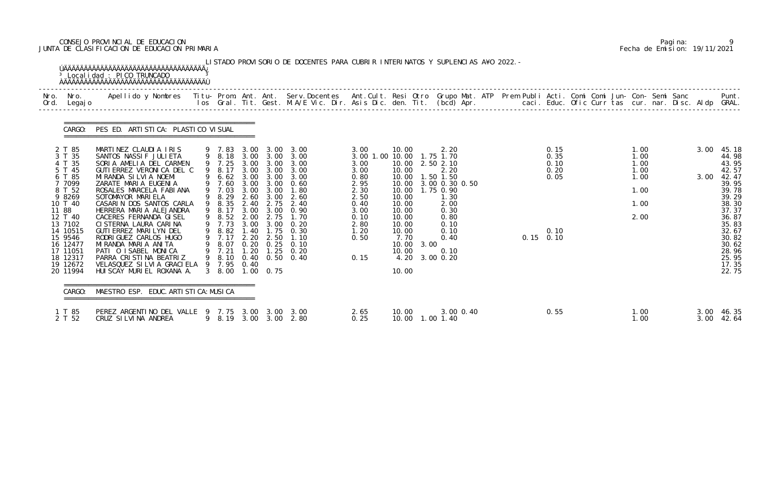## CONSEJO PROVINCIAL DE EDUCACION Pagina: 9 JUNTA DE CLASIFICACION DE EDUCACION PRIMARIA Fecha de Emision: 19/11/2021

| Ord.  | Nro. Nro.<br>Legaj o                                                                                                                                                                             | Apellido y Nombres  Titu- Prom. Ant. Ant.  Serv.Docentes  Ant.Cult. Resi Otro  Grupo Mat. ATP  Prem Publi Acti. Comi Comi Jun- Con- Semi Sanc              Punt.<br>Ios Gral. Tit. Gest. M.A/E Vic. Dir. Asis Dic. den. Tit. (bcd                                                                                                                                                                                                                                                                                      |                                                                                                                      |              |                                                                                 |                                                                                                                                                                                                                                                                                                       |                                                                                                                                           |                                                                                                                                         |                                                                                                                                                                   |  |                                                             |  |                                                              |  |              |                                                                                                                                                                         |
|-------|--------------------------------------------------------------------------------------------------------------------------------------------------------------------------------------------------|------------------------------------------------------------------------------------------------------------------------------------------------------------------------------------------------------------------------------------------------------------------------------------------------------------------------------------------------------------------------------------------------------------------------------------------------------------------------------------------------------------------------|----------------------------------------------------------------------------------------------------------------------|--------------|---------------------------------------------------------------------------------|-------------------------------------------------------------------------------------------------------------------------------------------------------------------------------------------------------------------------------------------------------------------------------------------------------|-------------------------------------------------------------------------------------------------------------------------------------------|-----------------------------------------------------------------------------------------------------------------------------------------|-------------------------------------------------------------------------------------------------------------------------------------------------------------------|--|-------------------------------------------------------------|--|--------------------------------------------------------------|--|--------------|-------------------------------------------------------------------------------------------------------------------------------------------------------------------------|
|       |                                                                                                                                                                                                  | CARGO: PES ED. ARTISTICA: PLASTICO VISUAL                                                                                                                                                                                                                                                                                                                                                                                                                                                                              |                                                                                                                      |              |                                                                                 |                                                                                                                                                                                                                                                                                                       |                                                                                                                                           |                                                                                                                                         |                                                                                                                                                                   |  |                                                             |  |                                                              |  |              |                                                                                                                                                                         |
| 11 88 | 2 T 85<br>3 T 35<br>4 T 35<br>5 T 45<br>6 T 85<br>7 7099<br>8 T 52<br>9 8269<br>10 T 40<br>12 T 40<br>13 7102<br>14 10515<br>15 9546<br>16 12477<br>17 11051<br>18 12317<br>19 12672<br>20 11994 | MARTINEZ CLAUDIA IRIS<br>SANTOS NASSIF JULIETA<br>SORIA AMELIA DEL CARMEN<br>GUTI ERREZ VERONI CA DEL C<br>MIRANDA SILVIA NOEMI<br>ZARATE MARIA EUGENIA<br>ROSALES MARCELA FABIANA<br>SOTOMAYOR MARIELA<br>CASARIN DOS SANTOS CARLA<br>HERRERA MARIA ALEJANDRA<br>CACERES FERNANDA GISEL<br>CI STERNA LAURA CARINA<br>GUTI ERREZ MARILYN DEL<br>RODRI GUEZ CARLOS HUGO<br>MIRANDA MARIA ANITA<br>PATI O ISABEL MONICA<br>PARRA CRISTINA BEATRIZ<br>VELASQUEZ SILVIA GRACIELA 9 7.95 0.40<br>HUI SCAY MURI EL ROXANA A. | 9 8.17<br>9 6.62 3.00<br>9 7.03<br>9 8.29<br>9 8.35<br>9 8.52 2.00<br>9 7.17<br>9 8.07<br>9 7.21<br>9 8.10<br>3 8.00 | 2.40<br>2.20 | 3.00<br>9 7.60 3.00 3.00<br>3.00 3.00<br>2.60 3.00<br>2.75<br>2.50<br>1.00 0.75 | 9 7.83 3.00 3.00 3.00<br>9 8.18 3.00 3.00 3.00<br>9 7.25 3.00 3.00 3.00<br>3.00 3.00 3.00<br>3.00<br>0.60<br>1.80<br>2.60<br>2.75 2.40<br>9 8.17 3.00 3.00 0.90<br>1.70<br>9 7.73 3.00 3.00 0.20<br>9 8.82 1.40 1.75 0.30<br>1.10<br>$0.20 \quad 0.25 \quad 0.10$<br>1.20 1.25 0.20<br>0.40 0.50 0.40 | 3.00<br>3.00 1.00 10.00 1.75 1.70<br>3.00<br>3.00<br>0.80<br>2.95<br>2.30<br>2.50<br>0.40<br>3.00<br>0.10<br>2.80<br>1.20<br>0.50<br>0.15 | 10.00<br>10.00<br>10.00<br>10.00<br>10.00<br>10.00<br>10.00<br>10.00<br>10.00<br>10.00<br>10.00<br>7.70<br>10.00 3.00<br>10.00<br>10.00 | 2.20<br>10.00 2.50 2.10<br>2.20<br>$1.50$ $1.50$<br>3.00 0.30 0.50<br>1.75 0.90<br>1.30<br>2.00<br>0.30<br>0.80<br>0.10<br>0.10<br>0.40<br>0.10<br>4.20 3.00 0.20 |  | 0.15<br>0.35<br>0.10<br>0.20<br>0.05<br>0.10<br>$0.15$ 0.10 |  | 1.00<br>1.00<br>1.00<br>1.00<br>1.00<br>1.00<br>1.00<br>2.00 |  | 3.00<br>3.00 | 45.18<br>44.98<br>43.95<br>42.57<br>42.47<br>39.95<br>39.78<br>39.29<br>38.30<br>37.37<br>36.87<br>35.83<br>32.67<br>30.82<br>30.62<br>28.96<br>25.95<br>17.35<br>22.75 |
|       | CARGO:                                                                                                                                                                                           | MAESTRO ESP. EDUC. ARTI STI CA: MUSI CA                                                                                                                                                                                                                                                                                                                                                                                                                                                                                |                                                                                                                      |              |                                                                                 |                                                                                                                                                                                                                                                                                                       |                                                                                                                                           |                                                                                                                                         |                                                                                                                                                                   |  |                                                             |  |                                                              |  |              |                                                                                                                                                                         |
|       | 1 T 85<br>2 T 52                                                                                                                                                                                 | PEREZ ARGENTINO DEL VALLE 9 7.75 3.00 3.00 3.00<br>CRUZ SILVINA ANDREA                                                                                                                                                                                                                                                                                                                                                                                                                                                 |                                                                                                                      |              |                                                                                 | 9 8.19 3.00 3.00 2.80                                                                                                                                                                                                                                                                                 | 2.65<br>0.25                                                                                                                              | 10.00                                                                                                                                   | 3.00 0.40<br>10.00  1.00  1.40                                                                                                                                    |  | 0.55                                                        |  | 1.00<br>1.00                                                 |  |              | 3.00 46.35<br>3.00 42.64                                                                                                                                                |

|  | Pagi na: |                              |
|--|----------|------------------------------|
|  |          | Fecha de Emision: 19/11/2021 |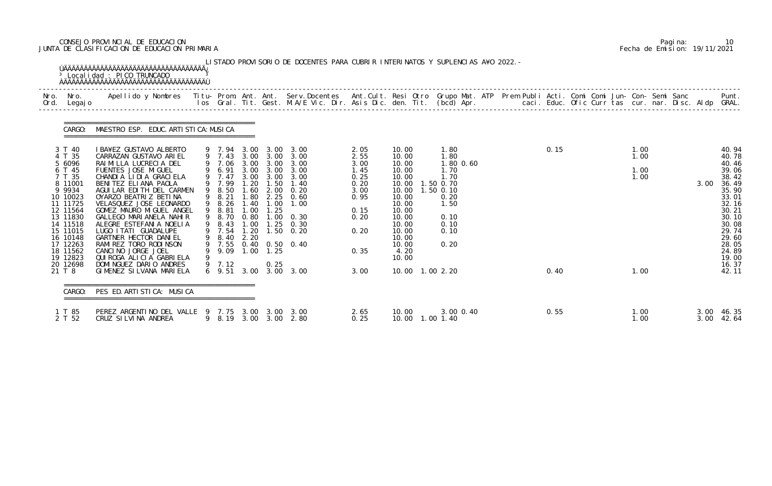## CONSEJO PROVINCIAL DE EDUCACION Pagina: 10 JUNTA DE CLASIFICACION DE EDUCACION PRIMARIA Fecha de Emision: 19/11/2021

| Nro. Nro.<br>Ord. Legajo | Apellido y Nombres  Titu- Prom. Ant. Ant.  Serv.Docentes  Ant.Cult. Resi Otro  Grupo Mat. ATP  Prem Publi Acti. Comi Comi Jun- Con- Semi Sanc              Punt.<br>Ios Gral. Tit. Gest. M.A/E Vic. Dir. Asis Dic. den. Tit. (bcd |                  |                       |                       |                                                |              |                            |                   |  |      |  |              |                    |                |
|--------------------------|-----------------------------------------------------------------------------------------------------------------------------------------------------------------------------------------------------------------------------------|------------------|-----------------------|-----------------------|------------------------------------------------|--------------|----------------------------|-------------------|--|------|--|--------------|--------------------|----------------|
| CARGO:                   | MAESTRO ESP. EDUC. ARTI STI CA: MUSI CA                                                                                                                                                                                           |                  |                       |                       |                                                |              |                            |                   |  |      |  |              |                    |                |
| 3 T 40<br>4 T 35         | IBA¥EZ GUSTAVO ALBERTO<br>CARRAZAN GUSTAVO ARIEL                                                                                                                                                                                  |                  |                       |                       | 9 7.94 3.00 3.00 3.00<br>9 7.43 3.00 3.00 3.00 | 2.05<br>2.55 | 10.00<br>10.00             | 1.80<br>1.80      |  | 0.15 |  | 1.00<br>1.00 |                    | 40.94<br>40.78 |
| 5 6096<br>6 T 45         | RAIMILLA LUCRECIA DEL<br>FUENTES JOSE MIGUEL                                                                                                                                                                                      |                  |                       |                       | 9 7.06 3.00 3.00 3.00<br>9 6.91 3.00 3.00 3.00 | 3.00<br>1.45 | 10.00<br>10.00             | 1.80 0.60<br>1.70 |  |      |  | 1.00         |                    | 40.46<br>39.06 |
| 7 T 35                   | CHANDIA LIDIA GRACIELA                                                                                                                                                                                                            | 9 7.47           |                       |                       | 3.00 3.00 3.00                                 | 0.25         | 10.00                      | 1.70              |  |      |  | 1.00         |                    | 38.42          |
| 8 11001                  | BENITEZ ELIANA PAOLA                                                                                                                                                                                                              | 9 7.99           | 1.20                  |                       | $1.50$ $1.40$                                  | 0.20         | 10.00                      | 1.50 0.70         |  |      |  |              | 3.00               | 36.49          |
| 9 9 9 3 4<br>10 10023    | AGUILAR EDITH DEL CARMEN<br>OYARZO BEATRIZ BETINA                                                                                                                                                                                 | 9 8.50<br>9 8.21 | 1.80                  | $1.60$ $2.00$<br>2.25 | 0.20<br>0.60                                   | 3.00<br>0.95 | 10.00<br>10.00             | 1.50 0.10<br>0.20 |  |      |  |              |                    | 35.90<br>33.01 |
| 11 11725                 | VELASQUEZ JOSE LEONARDO                                                                                                                                                                                                           | 9 8.26           | 1.40                  |                       | $1.00$ $1.00$                                  |              | 10.00                      | 1.50              |  |      |  |              |                    | 32.16          |
| 12 11564<br>13 11830     | GOMEZ MAURO MIGUEL ANGEL<br>GALLEGO MARI ANELA NAHIR                                                                                                                                                                              | 9 8.81<br>9 8.70 | 1.00<br>0.80          | 1.25                  | $1.00 \quad 0.30$                              | 0.15<br>0.20 | 10.00<br>10.00             | 0.10              |  |      |  |              |                    | 30.21<br>30.10 |
| 14 11518                 | ALEGRE ESTEFANIA NOELIA                                                                                                                                                                                                           | 9 8.43           | 1.00                  |                       | $1.25 \quad 0.30$                              |              | 10.00                      | 0.10              |  |      |  |              |                    | 30.08          |
| 15 11015                 | LUGO I TATI GUADALUPE                                                                                                                                                                                                             | 9 7.54           | 1.20                  |                       | $1.50 \t 0.20$                                 | 0.20         | 10.00                      | 0.10              |  |      |  |              |                    | 29.74          |
| 16 10148<br>17 12263     | GARTNER HECTOR DANIEL<br>RAMI REZ TORO RODI NSON                                                                                                                                                                                  | 9 8.40           | 2.20                  |                       | 9 7.55 0.40 0.50 0.40                          |              | 10.00<br>10.00             | 0.20              |  |      |  |              |                    | 29.60<br>28.05 |
| 18 11562                 | CANCINO JORGE JOEL                                                                                                                                                                                                                |                  |                       | 9 9.09 1.00 1.25      |                                                | 0.35         | 4.20                       |                   |  |      |  |              |                    | 24.89          |
| 19 12823                 | QUI ROGA ALI CI A GABRI ELA                                                                                                                                                                                                       |                  |                       |                       |                                                |              | 10.00                      |                   |  |      |  |              |                    | 19.00          |
| 20 12698<br>21 T 8       | DOMINGUEZ DARIO ANDRES<br>GIMENEZ SILVANA MARIELA                                                                                                                                                                                 | 9 7.12           |                       | 0.25                  | 6 9.51 3.00 3.00 3.00                          | 3.00         | 10.00  1.00  2.20          |                   |  | 0.40 |  | 1.00         |                    | 16.37<br>42.11 |
| CARGO:                   | PES ED. ARTISTICA: MUSICA                                                                                                                                                                                                         |                  |                       |                       |                                                |              |                            |                   |  |      |  |              |                    |                |
|                          |                                                                                                                                                                                                                                   |                  |                       |                       |                                                |              |                            |                   |  |      |  |              |                    |                |
| 1 T 85                   | PEREZ ARGENTINO DEL VALLE 9 7.75 3.00 3.00<br>CRUZ SILVINA ANDREA                                                                                                                                                                 |                  | 9 8.19 3.00 3.00 2.80 |                       | - 3.00                                         | 2.65<br>0.25 | 10.00<br>10.00  1.00  1.40 | $3.00 \, 0.40$    |  | 0.55 |  | 1.00<br>1.00 | 3.00<br>3.00 42.64 | 46.35          |

|  | Pagi na: | 10                           |
|--|----------|------------------------------|
|  |          | Fecha de Emision: 19/11/2021 |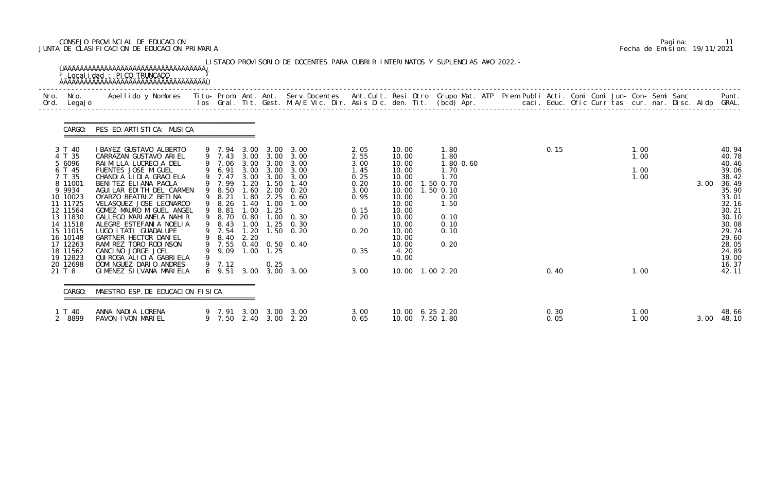## CONSEJO PROVINCIAL DE EDUCACION Pagina: 11 JUNTA DE CLASIFICACION DE EDUCACION PRIMARIA Fecha de Emision: 19/11/2021

| Nro.<br>Ord. | Nro.<br>Legaj o      | Apellido y Nombres - Titu- Prom. Ant. Ant. Serv.Docentes - Ant.Cult. Resi Otro Grupo Mat. ATP Prem Publi Acti. Comi Comi Jun- Con- Semi Sanc - - - Punt.<br>Ios Gral. Tit. Gest. M.A/E Vic. Dir. Asis Dic. den. Tit. (bcd) Apr. - |                  |              |              |                                                |              |                   |                        |  |      |  |              |      |                |
|--------------|----------------------|-----------------------------------------------------------------------------------------------------------------------------------------------------------------------------------------------------------------------------------|------------------|--------------|--------------|------------------------------------------------|--------------|-------------------|------------------------|--|------|--|--------------|------|----------------|
|              | CARGO:               | PES ED. ARTISTICA: MUSICA                                                                                                                                                                                                         |                  |              |              |                                                |              |                   |                        |  |      |  |              |      |                |
|              | 3 T 40<br>4 T 35     | I BA¥EZ GUSTAVO ALBERTO<br>CARRAZAN GUSTAVO ARIEL                                                                                                                                                                                 |                  |              |              | 9 7.94 3.00 3.00 3.00<br>9 7.43 3.00 3.00 3.00 | 2.05<br>2.55 | 10.00<br>10.00    | 1.80<br>1.80           |  | 0.15 |  | 1.00<br>1.00 |      | 40.94<br>40.78 |
|              | 5 6096<br>6 T 45     | RAIMILLA LUCRECIA DEL<br>FUENTES JOSE MIGUEL                                                                                                                                                                                      | 9 7.06<br>9 6.91 |              | 3.00 3.00    | 3.00 3.00 3.00<br>3.00                         | 3.00<br>1.45 | 10.00<br>10.00    | 1.80 0.60<br>1.70      |  |      |  | 1.00         |      | 40.46<br>39.06 |
|              | 7 T 35               | CHANDIA LIDIA GRACIELA                                                                                                                                                                                                            | 9 7.47           |              |              | 3.00 3.00 3.00                                 | 0.25         | 10.00             | 1.70                   |  |      |  | 1.00         |      | 38.42          |
|              | 8 11001<br>9 9 9 3 4 | BENITEZ ELIANA PAOLA<br>AGUILAR EDITH DEL CARMEN                                                                                                                                                                                  | 9 7.99<br>9 8.50 | .20<br>1.60  | 1.50<br>2.00 | 1.40<br>0.20                                   | 0.20<br>3.00 | 10.00<br>10.00    | 1.50 0.70<br>1.50 0.10 |  |      |  |              | 3.00 | 36.49<br>35.90 |
|              | 10 10023             | OYARZO BEATRIZ BETINA                                                                                                                                                                                                             | 9 8.21           | 1.80         |              | $2.25 \quad 0.60$                              | 0.95         | 10.00             | 0.20                   |  |      |  |              |      | 33.01          |
|              | 11 11725<br>12 11564 | VELASQUEZ JOSE LEONARDO<br>GOMEZ MAURO MI GUEL ANGEL                                                                                                                                                                              | 9 8.26<br>9 8.81 | 1.40<br>1.00 | 1.00<br>1.25 | 1.00                                           | 0.15         | 10.00<br>10.00    | 1.50                   |  |      |  |              |      | 32.16<br>30.21 |
|              | 13 11830             | GALLEGO MARIANELA NAHIR                                                                                                                                                                                                           | 9 8.70           | 0.80         |              | $1.00 \quad 0.30$                              | 0.20         | 10.00             | 0.10                   |  |      |  |              |      | 30.10          |
|              | 14 11518<br>15 11015 | ALEGRE ESTEFANIA NOELIA<br>LUGO I TATI GUADALUPE                                                                                                                                                                                  | 9 8.43<br>9 7.54 | 1.00<br>1.20 |              | $1.25 \quad 0.30$<br>$1.50 \t 0.20$            | 0.20         | 10.00<br>10.00    | 0.10<br>0.10           |  |      |  |              |      | 30.08<br>29.74 |
|              | 16 10148             | GARTNER HECTOR DANIEL                                                                                                                                                                                                             | 9 8.40           | 2.20         |              |                                                |              | 10.00             |                        |  |      |  |              |      | 29.60          |
|              | 17 12263<br>18 11562 | RAMI REZ TORO RODI NSON<br>CANCINO JORGE JOEL                                                                                                                                                                                     | 9 9.09 1.00 1.25 |              |              | 9 7.55 0.40 0.50 0.40                          | 0.35         | 10.00<br>4.20     | 0.20                   |  |      |  |              |      | 28.05<br>24.89 |
|              | 19 12823             | QUI ROGA ALI CI A GABRI ELA                                                                                                                                                                                                       |                  |              |              |                                                |              | 10.00             |                        |  |      |  |              |      | 19.00          |
|              | 20 12698<br>21 T 8   | DOMINGUEZ DARIO ANDRES<br>GIMENEZ SILVANA MARIELA                                                                                                                                                                                 | $9$ 7.12         |              | 0.25         | 6 9.51 3.00 3.00 3.00                          | 3.00         | 10.00  1.00  2.20 |                        |  | 0.40 |  | 1.00         |      | 16.37          |
|              |                      |                                                                                                                                                                                                                                   |                  |              |              |                                                |              |                   |                        |  |      |  |              |      | 42.11          |
|              | CARGO:               | MAESTRO ESP. DE EDUCACION FISICA                                                                                                                                                                                                  |                  |              |              |                                                |              |                   |                        |  |      |  |              |      |                |
|              | 1 T 40               | ANNA NADIA LORENA                                                                                                                                                                                                                 |                  |              |              | 9 7.91 3.00 3.00 3.00                          | 3.00         | 10.00 6.25 2.20   |                        |  | 0.30 |  | 1.00         |      | 48.66          |

|  | Pagi na: | 11                           |
|--|----------|------------------------------|
|  |          | Fecha de Emision: 19/11/2021 |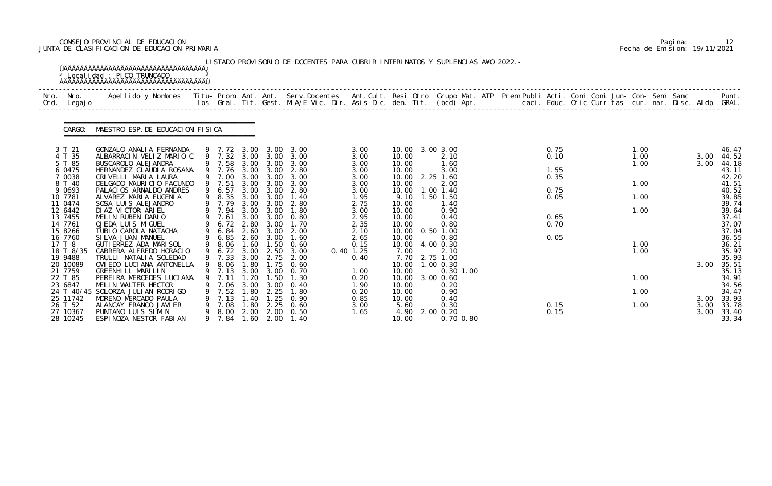## CONSEJO PROVINCIAL DE EDUCACION Pagina: 12 JUNTA DE CLASIFICACION DE EDUCACION PRIMARIA Fecha de Emision: 19/11/2021

| Nro.<br>Ord. | Nro.<br>Legaj o     | Apellido y Nombres  Titu- Prom. Ant. Ant. Serv.Docentes  Ant.Cult. Resi Otro Grupo Mat. ATP Prem Publi Acti. Comi Comi Jun- Con- Semi Sanc           Punt.<br>Ios Gral. Tit. Gest. M.A/E Vic. Dir. Asis Dic. den. Tit. (bcd) Apr. |   |                       |              |                   |                               |              |                |                        |  |              |  |              |              |                |
|--------------|---------------------|-----------------------------------------------------------------------------------------------------------------------------------------------------------------------------------------------------------------------------------|---|-----------------------|--------------|-------------------|-------------------------------|--------------|----------------|------------------------|--|--------------|--|--------------|--------------|----------------|
|              | CARGO:              | MAESTRO ESP. DE EDUCACION FISICA                                                                                                                                                                                                  |   |                       |              |                   |                               |              |                |                        |  |              |  |              |              |                |
|              | 3 T 21              | GONZALO ANALIA FERNANDA                                                                                                                                                                                                           |   |                       |              |                   | 9 7.72 3.00 3.00 3.00         | 3.00         |                | 10.00 3.00 3.00        |  | 0.75         |  | 1.00         |              | 46.47          |
|              | 4 T 35<br>5 T 85    | ALBARRACIN VELIZ MARIO C<br>BUSCAROLO ALEJANDRA                                                                                                                                                                                   |   | 9 7.32 3.00           |              | 3.00              | 3.00<br>9 7.58 3.00 3.00 3.00 | 3.00<br>3.00 | 10.00<br>10.00 | 2.10<br>1.60           |  | 0.10         |  | 1.00<br>1.00 | 3.00<br>3.00 | 44.52<br>44.18 |
|              | 6 0475              | HERNANDEZ CLAUDIA ROSANA                                                                                                                                                                                                          |   | 9 7.76                |              | 3.00 3.00         | 2.80                          | 3.00         | 10.00          | 3.00                   |  | 1.55         |  |              |              | 43.11          |
|              | 7 0038              | CRIVELLI MARIA LAURA                                                                                                                                                                                                              |   | 9 7.00                | 3.00         | 3.00              | 3.00                          | 3.00         | 10.00          | 2.25 1.60              |  | 0.35         |  |              |              | 42.20          |
|              | 8 T 40              | DELGADO MAURICIO FACUNDO                                                                                                                                                                                                          |   | 9 7.51                | 3.00         | 3.00              | 3.00                          | 3.00         | 10.00          | 2.00                   |  |              |  | 1.00         |              | 41.51          |
|              | 9 0693              | PALACIOS ARNALDO ANDRES                                                                                                                                                                                                           |   | 9 6.57                |              | 3.00 3.00         | 2.80                          | 3.00         | 10.00          | $1.00$ $1.40$          |  | 0.75         |  |              |              | 40.52          |
|              | 10 7781<br>11 0474  | ALVAREZ MARIA EUGENIA<br>SOSA LUIS ALEJANDRO                                                                                                                                                                                      |   | 9 8.35<br>9 7.79      | 3.00<br>3.00 | 3.00              | 1.40<br>3.00 2.80             | 1.95<br>2.75 | 9.10<br>10.00  | 1.50 1.50<br>1.40      |  | 0.05         |  | 1.00         |              | 39.85<br>39.74 |
|              | 12 6442             | DI AZ VI CTOR ARI EL                                                                                                                                                                                                              |   | 9 7.94                | 3.00         | 3.00              | 1.80                          | 3.00         | 10.00          | 0.90                   |  |              |  | 1.00         |              | 39.64          |
|              | 13 7455             | MELIN RUBEN DARIO                                                                                                                                                                                                                 |   | 7.61                  | 3.00         |                   | 3.00 0.80                     | 2.95         | 10.00          | 0.40                   |  | 0.65         |  |              |              | 37.41          |
|              | 14 7761             | OJEDA LUIS MIGUEL                                                                                                                                                                                                                 |   | 9 6.72 2.80           |              | 3.00              | 1.70                          | 2.35         | 10.00          | 0.80                   |  | 0.70         |  |              |              | 37.07          |
|              | 15 8266             | TUBIO CAROLA NATACHA                                                                                                                                                                                                              |   | 6.84                  |              | 2.60 3.00         | 2.00                          | 2.10         | 10.00          | $0.50$ 1.00            |  |              |  |              |              | 37.04          |
|              | 16 7760             | SI LVA JUAN MANUEL                                                                                                                                                                                                                |   | 6.85                  | 2.60         | 3.00              | 1.60                          | 2.65         | 10.00          | 0.80                   |  | 0.05         |  |              |              | 36.55          |
|              | 17 T 8              | GUTI ERREZ ADA MARI SOL                                                                                                                                                                                                           | 9 | 8.06                  | 1.60         | 1.50              | 0.60                          | 0.15         | 10.00          | 4.00 0.30              |  |              |  | 1.00         |              | 36.21          |
|              | 18 T 8/35           | CABRERA ALFREDO HORACIO                                                                                                                                                                                                           |   | 9 6.72                |              | $3.00 \quad 2.50$ | 3.00                          | $0.40$ 1.25  | 7.00           | 2.10<br>7.70 2.75 1.00 |  |              |  | 1.00         |              | 35.97          |
|              | 19 9488<br>20 10089 | TRULLI NATALIA SOLEDAD<br>OVI EDO LUCI ANA ANTONELLA                                                                                                                                                                              |   | 9 7.33<br>9 8.06 1.80 | 3.00         | 2.75<br>1.75      | 2.00<br>0.60                  | 0.40         | 10.00          | $1.00 \, 0.30$         |  |              |  |              | 3.00         | 35.93<br>35.51 |
|              | 21 7759             | GREENHILL MARILIN                                                                                                                                                                                                                 |   | 9 7.13 3.00 3.00      |              |                   | 0. 70                         | 1.00         | 10.00          | $0.30$ 1.00            |  |              |  |              |              | 35.13          |
|              | 22 T 85             | PEREIRA MERCEDES LUCIANA                                                                                                                                                                                                          |   |                       |              |                   |                               | 0.20         | 10.00          | 3.00 0.60              |  |              |  | 1.00         |              | 34.91          |
|              | 23 6847             | MELIN WALTER HECTOR                                                                                                                                                                                                               |   | 7.06                  | 3.00         | 3.00              | 0.40                          | 1.90         | 10.00          | 0.20                   |  |              |  |              |              | 34.56          |
|              |                     | 24 T 40/45 SOLORZA JULIAN RODRIGO                                                                                                                                                                                                 |   | 7.52                  | . 80         | 2.25              | 1.80                          | 0.20         | 10.00          | 0.90                   |  |              |  | 1.00         |              | 34.47          |
|              | 25 11742            | MORENO MERCADO PAULA                                                                                                                                                                                                              |   | 7.13                  | 40           | . 25              | 0.90                          | 0.85         | 10.00          | 0.40                   |  |              |  |              | 3.00         | 33.93          |
|              | 26 T 52<br>27 10367 | ALANCAY FRANCO JAVI ER<br>PUNTANO LUIS SIM N                                                                                                                                                                                      |   | 7.08<br>8.00          | . 80<br>2.00 | 2.25              | 0.60                          | 3.00         | 5.60<br>4.90   | 0.30                   |  | 0.15<br>0.15 |  | 1.00         | 3.00<br>3.00 | 33.78<br>33.40 |
|              |                     |                                                                                                                                                                                                                                   |   |                       |              | 2.00              | 0.50                          | 1.65         |                | 2.00 0.20              |  |              |  |              |              |                |

|  | Pagi na: |                              |
|--|----------|------------------------------|
|  |          | Fecha de Emision: 19/11/2021 |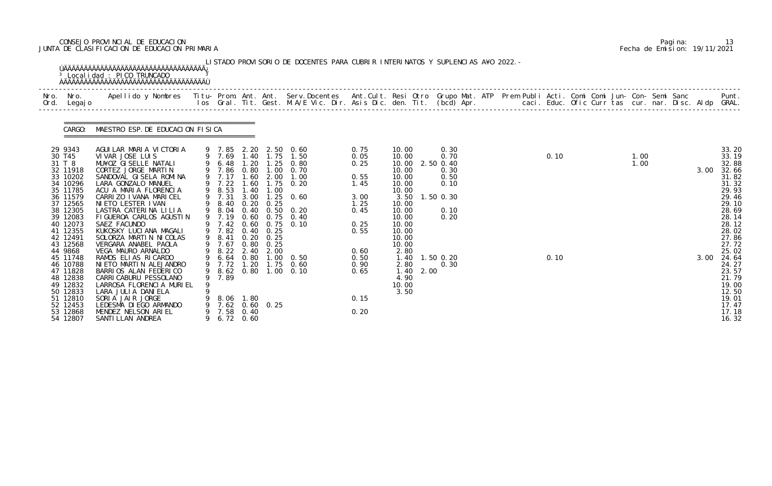## CONSEJO PROVINCIAL DE EDUCACION Pagina: 13 JUNTA DE CLASIFICACION DE EDUCACION PRIMARIA Fecha de Emision: 19/11/2021

|              |                                                                                                                                                                                                                                                                                                                | <sup>3</sup> Local i dad : PI CO TRUNCADO                                                                                                                                                                                                                                                                                                                                                                                                                                                                                                                                                                                                |             |                                                                                                                                                                                                       |                                                                          |                                                                                                                   | LISTADO PROVISORIO DE DOCENTES PARA CUBRIR INTERINATOS Y SUPLENCIAS A¥O 2022. -                                                                                                                                                                        |                                                                                                                              |                                                                                                                                                                                     |           |                                                                                                       |  |              |  |              |  |              |                                                                                                                                                                                                                                        |
|--------------|----------------------------------------------------------------------------------------------------------------------------------------------------------------------------------------------------------------------------------------------------------------------------------------------------------------|------------------------------------------------------------------------------------------------------------------------------------------------------------------------------------------------------------------------------------------------------------------------------------------------------------------------------------------------------------------------------------------------------------------------------------------------------------------------------------------------------------------------------------------------------------------------------------------------------------------------------------------|-------------|-------------------------------------------------------------------------------------------------------------------------------------------------------------------------------------------------------|--------------------------------------------------------------------------|-------------------------------------------------------------------------------------------------------------------|--------------------------------------------------------------------------------------------------------------------------------------------------------------------------------------------------------------------------------------------------------|------------------------------------------------------------------------------------------------------------------------------|-------------------------------------------------------------------------------------------------------------------------------------------------------------------------------------|-----------|-------------------------------------------------------------------------------------------------------|--|--------------|--|--------------|--|--------------|----------------------------------------------------------------------------------------------------------------------------------------------------------------------------------------------------------------------------------------|
| Nro.<br>Ord. | Nro.<br>Legaj o                                                                                                                                                                                                                                                                                                | Apellido y Nombres  Titu- Prom. Ant. Ant. Serv.Docentes  Ant.Cult. Resi Otro Grupo Mat. ATP Prem Publi Acti. Comi Comi Jun- Con- Semi Sanc           Punt.<br>Ios Gral. Tit. Gest. M.A/E Vic. Dir. Asis Dic. den. Tit. (bcd) Apr.                                                                                                                                                                                                                                                                                                                                                                                                        |             |                                                                                                                                                                                                       |                                                                          |                                                                                                                   |                                                                                                                                                                                                                                                        |                                                                                                                              |                                                                                                                                                                                     |           |                                                                                                       |  |              |  |              |  |              |                                                                                                                                                                                                                                        |
|              | CARGO:                                                                                                                                                                                                                                                                                                         | MAESTRO ESP. DE EDUCACION FISICA                                                                                                                                                                                                                                                                                                                                                                                                                                                                                                                                                                                                         |             |                                                                                                                                                                                                       |                                                                          |                                                                                                                   |                                                                                                                                                                                                                                                        |                                                                                                                              |                                                                                                                                                                                     |           |                                                                                                       |  |              |  |              |  |              |                                                                                                                                                                                                                                        |
|              | 29 9343<br>30 T45<br>31 T 8<br>32 11918<br>33 10202<br>34 10296<br>35 11785<br>36 11579<br>37 12565<br>38 12305<br>39 12083<br>40 12073<br>41 12355<br>42 12491<br>43 12568<br>44 9868<br>45 11748<br>46 10788<br>47 11828<br>48 12838<br>49 12832<br>50 12833<br>51 12810<br>52 12453<br>53 12868<br>54 12807 | AGUILAR MARIA VICTORIA<br>VI VAR JOSE LUIS<br>MU¥OZ GISELLE NATALI<br>CORTEZ JORGE MARTIN<br>SANDOVAL GISELA ROMINA<br>LARA GONZALO MANUEL<br>ACU A MARIA FLORENCIA<br>CARRIZO IVANA MARICEL<br>NIETO LESTER IVAN<br>LASTRA CATERINA LILIA<br>FIGUEROA CARLOS AGUSTIN<br>SAEZ FACUNDO<br>KUKOSKY LUCIANA MAGALI<br>SOLORZA MARTIN NICOLAS<br>VERGARA ANABEL PAOLA<br>VEGA MAURO ARNALDO<br>RAMOS ELIAS RICARDO<br>NI ETO MARTIN ALEJANDRO<br>BARRIOS ALAN FEDERICO<br>CARRI CABURU PESSOLANO<br>LARROSA FLORENCIA MURIEL<br>LARA JULIA DANIELA<br>SORIA JAIR JORGE<br>LEDESMA DI EGO ARMANDO<br>MENDEZ NELSON ARIEL<br>SANTI LLAN ANDREA | 9<br>9<br>9 | 6.48<br>9 7.86 0.80<br>9 7.17<br>$9$ 7.22<br>9 8.53<br>9 7.31<br>9 8.40<br>9 8.04<br>9 7.19<br>9 7.42<br>9 7.82<br>9 8.41<br>9 7.67<br>9 8.22 2.40<br>9 7.72 1.20<br>7.89<br>7.58<br>$6.72\quad 0.60$ | 1.20<br>.60<br>1.40<br>3.00<br>0.20<br>0.60<br>0.80<br>8.06 1.80<br>0.40 | 1.00<br>$1.60$ $2.00$<br>1.00<br>0.25<br>$0.40 \quad 0.25$<br>$0.20 \quad 0.25$<br>0.25<br>2.00<br>7.62 0.60 0.25 | 9 7.85 2.20 2.50 0.60<br>9 7.69 1.40 1.75 1.50<br>$1.25 \t 0.80$<br>0. 70<br>1.00<br>$1.75 \t 0.20$<br>$1.25 \quad 0.60$<br>0.40 0.50 0.20<br>$0.60$ $0.75$ $0.40$<br>$0.75 \quad 0.10$<br>9 6.64 0.80 1.00 0.50<br>1.75 0.60<br>9 8.62 0.80 1.00 0.10 | 0.75<br>0.05<br>0.25<br>0.55<br>1.45<br>3.00<br>1.25<br>0.45<br>0.25<br>0.55<br>0.60<br>0.50<br>0.90<br>0.65<br>0.15<br>0.20 | 10.00<br>10.00<br>10.00<br>10.00<br>10.00<br>10.00<br>10.00<br>3.50<br>10.00<br>10.00<br>10.00<br>10.00<br>10.00<br>10.00<br>10.00<br>2.80<br>1.40<br>2.80<br>4.90<br>10.00<br>3.50 | 1.40 2.00 | 0.30<br>0.70<br>2.50 0.40<br>0.30<br>0.50<br>0.10<br>$1.50$ 0.30<br>0.10<br>0.20<br>1.50 0.20<br>0.30 |  | 0.10<br>0.10 |  | 1.00<br>1.00 |  | 3.00<br>3.00 | 33.20<br>33.19<br>32.88<br>32.66<br>31.82<br>31.32<br>29.93<br>29.46<br>29.10<br>28.69<br>28.14<br>28.12<br>28.02<br>27.86<br>27.72<br>25.02<br>24.64<br>24.27<br>23.57<br>21.79<br>19.00<br>12.50<br>19.01<br>17.47<br>17.18<br>16.32 |

|  | Pagi na: | 13                           |
|--|----------|------------------------------|
|  |          | Fecha de Emision: 19/11/2021 |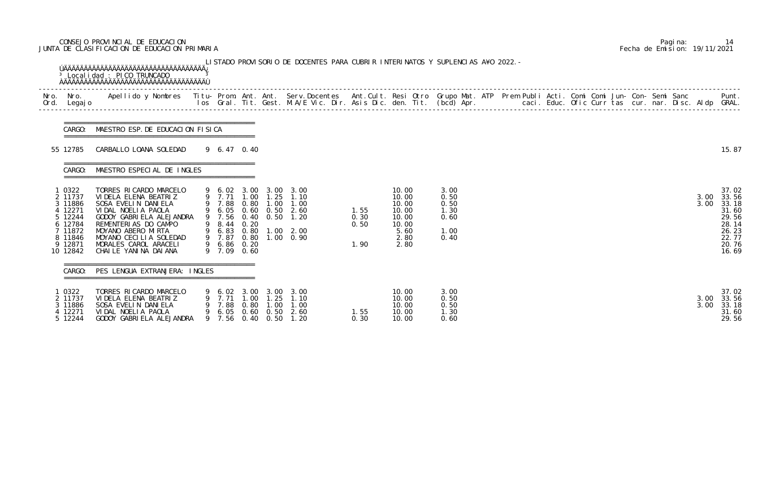## CONSEJO PROVINCIAL DE EDUCACION Pagina: 14 JUNTA DE CLASIFICACION DE EDUCACION PRIMARIA Fecha de Emision: 19/11/2021

| Nro.<br>Ord. | Nro.<br>Legaj o                                                                                                    | Apellido y Nombres  Titu- Prom. Ant. Ant.  Serv.Docentes  Ant.Cult. Resi Otro  Grupo Mat. ATP  Prem Publi Acti. Comi Comi Jun- Con- Semi Sanc              Punt.<br>Ios Gral. Tit. Gest. M.A/E Vic. Dir. Asis Dic. den. Tit. (bcd                                                  |   |                                                               |                              |                                                    |                                                                                                    |                              |                                                                            |                                                      |  |  |  |  |  |              |                                                                                        |
|--------------|--------------------------------------------------------------------------------------------------------------------|------------------------------------------------------------------------------------------------------------------------------------------------------------------------------------------------------------------------------------------------------------------------------------|---|---------------------------------------------------------------|------------------------------|----------------------------------------------------|----------------------------------------------------------------------------------------------------|------------------------------|----------------------------------------------------------------------------|------------------------------------------------------|--|--|--|--|--|--------------|----------------------------------------------------------------------------------------|
|              | CARGO:                                                                                                             | MAESTRO ESP. DE EDUCACION FISICA                                                                                                                                                                                                                                                   |   | ===================                                           |                              |                                                    |                                                                                                    |                              |                                                                            |                                                      |  |  |  |  |  |              |                                                                                        |
|              | 55 12785                                                                                                           | CARBALLO LOANA SOLEDAD                                                                                                                                                                                                                                                             |   | 9 6.47 0.40                                                   |                              |                                                    |                                                                                                    |                              |                                                                            |                                                      |  |  |  |  |  |              | 15.87                                                                                  |
|              | CARGO:                                                                                                             | MAESTRO ESPECIAL DE INGLES                                                                                                                                                                                                                                                         |   |                                                               |                              |                                                    |                                                                                                    |                              |                                                                            |                                                      |  |  |  |  |  |              |                                                                                        |
|              | 0322<br>2 11737<br>3 11886<br>4 12271<br>5 12244<br>6 12784<br>7 11872<br>8 11846<br>9 12871<br>10 12842<br>CARGO: | TORRES RICARDO MARCELO<br>VI DELA ELENA BEATRIZ<br>SOSA EVELIN DANIELA<br>VIDAL NOELIA PAOLA<br>GODOY GABRIELA ALEJANDRA<br>REMENTERIAS DO CAMPO<br>MOYANO ABERO MIRTA<br>MOYANO CECILIA SOLEDAD<br>MORALES CAROL ARACELI<br>CHAILE YANINA DAIANA<br>PES LENGUA EXTRANJERA: INGLES |   | 9 7.88<br>9 7.56<br>9 8.44<br>9 7.87<br>9 6.86 0.20<br>9 7.09 | 0.80<br>0.20<br>0.80<br>0.60 | 9 6.02 3.00 3.00 3.00<br>9 7.71 1.00 1.25 1.10     | 1.00 1.00<br>9 6.05 0.60 0.50 2.60<br>0.40 0.50 1.20<br>9 6.83 0.80 1.00 2.00<br>$1.00 \quad 0.90$ | 1.55<br>0.30<br>0.50<br>1.90 | 10.00<br>10.00<br>10.00<br>10.00<br>10.00<br>10.00<br>5.60<br>2.80<br>2.80 | 3.00<br>0.50<br>0.50<br>1.30<br>0.60<br>1.00<br>0.40 |  |  |  |  |  | 3.00<br>3.00 | 37.02<br>33.56<br>33.18<br>31.60<br>29.56<br>28.14<br>26.23<br>22.77<br>20.76<br>16.69 |
|              | $\begin{array}{cc} \text{0322} \\ \text{0322} \end{array}$<br>2 11737<br>3 11886<br>4 12271<br>5 12244             | TORRES RICARDO MARCELO<br>VI DELA ELENA BEATRIZ<br>SOSA EVELIN DANIELA<br>VIDAL NOELIA PAOLA<br>GODOY GABRI ELA ALEJANDRA                                                                                                                                                          | 9 | 7.71<br>7.88<br>6. 05<br>7.56                                 | 1.00<br>0.80<br>0.60<br>0.40 | 9 6.02 3.00 3.00<br>1.25<br>1.00<br>0. 50<br>0. 50 | 3.00<br>1.10<br>1.00<br>2.60<br>1. 20                                                              | 1.55<br>0.30                 | 10.00<br>10.00<br>10.00<br>10.00<br>10.00                                  | 3.00<br>0.50<br>0.50<br>1.30<br>0.60                 |  |  |  |  |  | 3.00<br>3.00 | 37.02<br>33.56<br>33.18<br>31.60<br>29.56                                              |

|  | Pagi na: | 14                           |
|--|----------|------------------------------|
|  |          | Fecha de Emision: 19/11/2021 |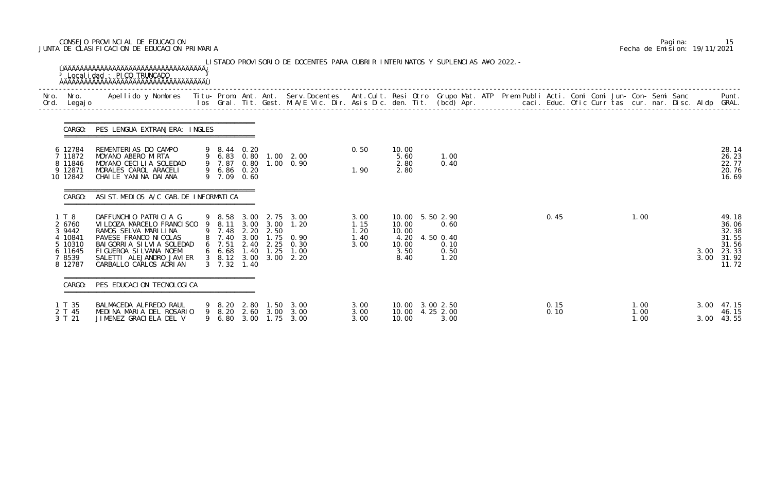## CONSEJO PROVINCIAL DE EDUCACION Pagina: 15 JUNTA DE CLASIFICACION DE EDUCACION PRIMARIA Fecha de Emision: 19/11/2021

| Ord. Legajo                                                                     |                                                                                                                                                                                                                                          |                                           |      |                          |                                                                                                                    |                                      |                                                                    |                                           |  |              |  |                      |      |                                                                           |
|---------------------------------------------------------------------------------|------------------------------------------------------------------------------------------------------------------------------------------------------------------------------------------------------------------------------------------|-------------------------------------------|------|--------------------------|--------------------------------------------------------------------------------------------------------------------|--------------------------------------|--------------------------------------------------------------------|-------------------------------------------|--|--------------|--|----------------------|------|---------------------------------------------------------------------------|
|                                                                                 | CARGO: PES LENGUA EXTRANJERA: INGLES                                                                                                                                                                                                     |                                           |      |                          |                                                                                                                    |                                      |                                                                    |                                           |  |              |  |                      |      |                                                                           |
| 6 12784<br>7 11872<br>8 11846<br>9 12871<br>10 12842                            | REMENTERIAS DO CAMPO<br>MOYANO ABERO MIRTA<br>MOYANO CECILIA SOLEDAD<br>MORALES CAROL ARACELI<br>CHAILE YANINA DAIANA                                                                                                                    | 9 8.44 0.20<br>9 6.86 0.20<br>9 7.09 0.60 |      |                          | 9 6.83 0.80 1.00 2.00<br>9 7.87 0.80 1.00 0.90                                                                     | 0.50<br>1.90                         | 10.00<br>5.60<br>2.80<br>2.80                                      | 1.00<br>0.40                              |  |              |  |                      |      | 28.14<br>26.23<br>22.77<br>20.76<br>16.69                                 |
| CARGO:                                                                          | ASIST. MEDIOS A/C GAB. DE INFORMATICA                                                                                                                                                                                                    |                                           |      |                          |                                                                                                                    |                                      |                                                                    |                                           |  |              |  |                      |      |                                                                           |
| 1 T 8<br>2 6760<br>3 9442<br>4 10841<br>5 10310<br>6 11645<br>7 8539<br>8 12787 | DAFFUNCHIO PATRICIA G<br>VI LDOZA MARCELO FRANCISCO 9 8.11 3.00 3.00 1.20<br>RAMOS SELVA MARILINA<br>PAVESE FRANCO NI COLAS<br>BAI GORRIA SILVIA SOLEDAD<br>FIGUEROA SILVANA NOEMI<br>SALETTI ALEJANDRO JAVIER<br>CARBALLO CARLOS ADRIAN | $6$ 7.51<br>3 7.32 1.40                   |      | 9 7.48 2.20 2.50         | 9 8.58 3.00 2.75 3.00<br>8 7.40 3.00 1.75 0.90<br>2.40 2.25 0.30<br>6 6.68 1.40 1.25 1.00<br>3 8.12 3.00 3.00 2.20 | 3.00<br>1.15<br>1.20<br>1.40<br>3.00 | 10.00 5.50 2.90<br>10.00<br>10.00<br>4.20<br>10.00<br>3.50<br>8.40 | 0.60<br>4.50 0.40<br>0.10<br>0.50<br>1.20 |  | 0.45         |  | 1.00                 | 3.00 | 49.18<br>36.06<br>32.38<br>31.55<br>31.56<br>3.00 23.33<br>31.92<br>11.72 |
| CARGO:                                                                          | PES EDUCACION TECNOLOGICA                                                                                                                                                                                                                |                                           |      |                          |                                                                                                                    |                                      |                                                                    |                                           |  |              |  |                      |      |                                                                           |
| 1 T 35<br>2 T 45<br>3 T 21                                                      | BALMACEDA ALFREDO RAUL<br>MEDINA MARIA DEL ROSARIO<br>JIMENEZ GRACIELA DEL V                                                                                                                                                             | 9 6.80                                    | 3.00 | 9 8.20 2.60 3.00<br>1.75 | 9 8.20 2.80 1.50 3.00<br>3.00<br>3.00                                                                              | 3.00<br>3.00<br>3.00                 | 10.00 3.00 2.50<br>10.00 4.25 2.00<br>10.00                        | 3.00                                      |  | 0.15<br>0.10 |  | 1.00<br>1.00<br>1.00 | 3.00 | 3.00 47.15<br>46.15<br>43.55                                              |

|  | Pagi na: | 15                           |
|--|----------|------------------------------|
|  |          | Fecha de Emision: 19/11/2021 |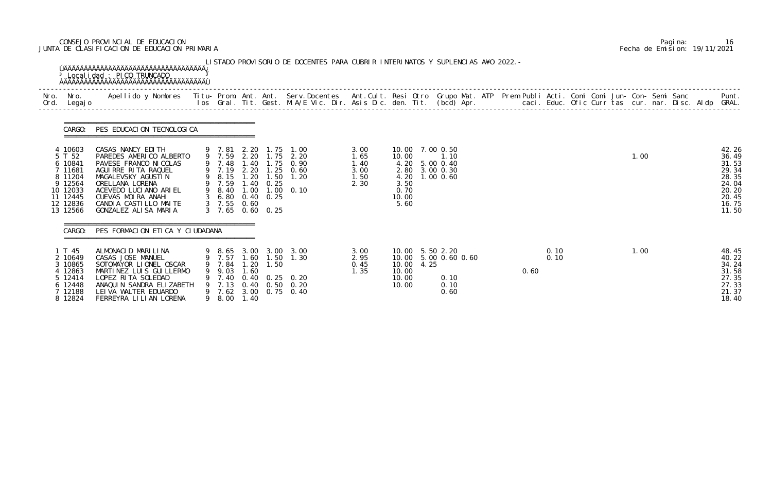## CONSEJO PROVINCIAL DE EDUCACION Pagina: 16 JUNTA DE CLASIFICACION DE EDUCACION PRIMARIA Fecha de Emision: 19/11/2021

| Ord. | Nro. Nro.<br>Legaj o                                                                                          | Apellido y Nombres Titu- Prom. Ant. Ant. Serv.Docentes Ant.Cult. Resi Otro Grupo Mat. ATP Prem Publi Acti. Comi Comi Jun- Con- Semi Sanc                                                                                               |                                                                                                                      |              |                   |                                                                                                                        |                                              |                                        |                                                                               |  |      |              |  |      |  | Punt.                                                                                  |
|------|---------------------------------------------------------------------------------------------------------------|----------------------------------------------------------------------------------------------------------------------------------------------------------------------------------------------------------------------------------------|----------------------------------------------------------------------------------------------------------------------|--------------|-------------------|------------------------------------------------------------------------------------------------------------------------|----------------------------------------------|----------------------------------------|-------------------------------------------------------------------------------|--|------|--------------|--|------|--|----------------------------------------------------------------------------------------|
|      | CARGO:                                                                                                        | PES EDUCACION TECNOLOGICA                                                                                                                                                                                                              |                                                                                                                      |              |                   |                                                                                                                        |                                              |                                        |                                                                               |  |      |              |  |      |  |                                                                                        |
|      | 4 10603<br>5 T 52<br>6 10841<br>7 11681<br>8 11204<br>9 12564<br>10 12033<br>11 12445<br>12 12836<br>13 12566 | CASAS NANCY EDITH<br>PAREDES AMERICO ALBERTO<br>PAVESE FRANCO NI COLAS<br>AGUIRRE RITA RAQUEL<br>MAGALEVSKY AGUSTIN<br>ORELLANA LORENA<br>ACEVEDO LUCIANO ARIEL<br>CUEVAS MOIRA ANAHI<br>CANDIA CASTILLO MAITE<br>GONZALEZ ALISA MARIA | 9 7.48<br>9 7.19 2.20<br>9 8.15 1.20<br>9 7.59<br>9 8.40 1.00<br>3 6.80 0.40 0.25<br>3 7.55 0.60<br>3 7.65 0.60 0.25 | 1.40         | $1.40 \quad 0.25$ | 9 7.81 2.20 1.75 1.00<br>9 7.59 2.20 1.75 2.20<br>1.75 0.90<br>$1.25 \quad 0.60$<br>$1.50$ $1.20$<br>$1.00 \quad 0.10$ | 3.00<br>1.65<br>1.40<br>3.00<br>1.50<br>2.30 | 10.00<br>3.50<br>0.70<br>10.00<br>5.60 | 10.00 7.00 0.50<br>1.10<br>4.20 5.00 0.40<br>2.80 3.00 0.30<br>4.20 1.00 0.60 |  |      |              |  | 1.00 |  | 42.26<br>36.49<br>31.53<br>29.34<br>28.35<br>24.04<br>20.20<br>20.45<br>16.75<br>11.50 |
|      | CARGO:                                                                                                        | PES FORMACION ETICA Y CIUDADANA                                                                                                                                                                                                        |                                                                                                                      |              |                   |                                                                                                                        |                                              |                                        |                                                                               |  |      |              |  |      |  |                                                                                        |
|      | 1 T 45<br>2 10649<br>3 10865<br>12863<br>5 12414<br>6 12448<br>7 12188<br>8 12824                             | ALMONACID MARILINA<br>CASAS JOSE MANUEL<br>SOTOMAYOR LIONEL OSCAR<br>MARTINEZ LUIS GUILLERMO<br>LOPEZ RITA SOLEDAD<br>ANAQUIN SANDRA ELIZABETH<br>LEIVA WALTER EDUARDO<br>FERREYRA LILIAN LORENA                                       | 9 7.84<br>9 9.03<br>9 7.40<br>9 8.00 1.40                                                                            | 1.20<br>1.60 | 1.50              | 9 8.65 3.00 3.00 3.00<br>9 7.57 1.60 1.50 1.30<br>0.40 0.25 0.20<br>9 7.13 0.40 0.50 0.20<br>9 7.62 3.00 0.75 0.40     | 3.00<br>2.95<br>0.45<br>1.35                 | 10.00 4.25<br>10.00<br>10.00<br>10.00  | 10.00 5.50 2.20<br>10.00 5.00 0.60 0.60<br>0.10<br>0.10<br>0.60               |  | 0.60 | 0.10<br>0.10 |  | 1.00 |  | 48.45<br>40.22<br>34.24<br>31.58<br>27.35<br>27.33<br>21.37<br>18.40                   |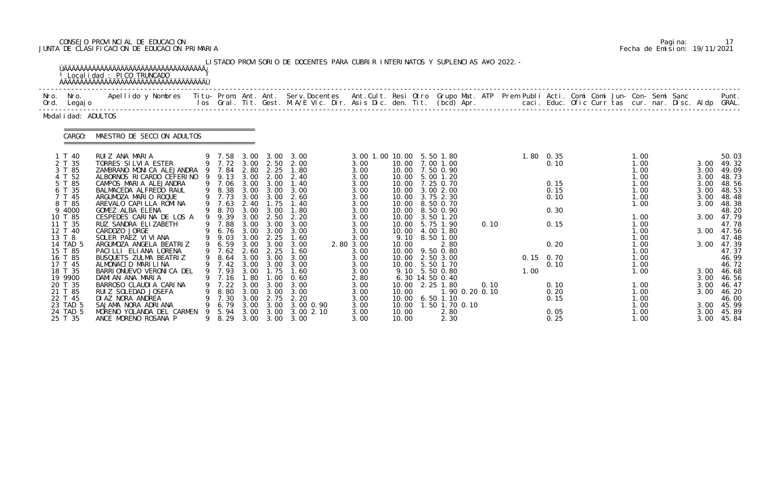# CONSEJO PROVINCIAL DE EDUCACION Pagina: 17 JUNTA DE CLASIFICACION DE EDUCACION PRIMARIA Fecha de Emision: 19/11/2021

|              |                                                                                                                                               | <sup>3</sup> Local i dad : PICO TRUNCADO                                                                                                                                                                                                                                                                                                                 |               |                                                                                                            |                                                                                                      |                                                                                                      | LISTADO PROVISORIO DE DOCENTES PARA CUBRIR INTERINATOS Y SUPLENCIAS A¥O 2022. -                                               |                                                                                                           |                                                     |                                                                                                                                                                                                                              |      |      |                                                                        |                                                      |  |                                                                                                      |  |                                                              |                                                                                                                                      |
|--------------|-----------------------------------------------------------------------------------------------------------------------------------------------|----------------------------------------------------------------------------------------------------------------------------------------------------------------------------------------------------------------------------------------------------------------------------------------------------------------------------------------------------------|---------------|------------------------------------------------------------------------------------------------------------|------------------------------------------------------------------------------------------------------|------------------------------------------------------------------------------------------------------|-------------------------------------------------------------------------------------------------------------------------------|-----------------------------------------------------------------------------------------------------------|-----------------------------------------------------|------------------------------------------------------------------------------------------------------------------------------------------------------------------------------------------------------------------------------|------|------|------------------------------------------------------------------------|------------------------------------------------------|--|------------------------------------------------------------------------------------------------------|--|--------------------------------------------------------------|--------------------------------------------------------------------------------------------------------------------------------------|
| Nro.<br>Ord. | Nro.<br>Legaj o                                                                                                                               | <u>ŇÄÄÄÄÄÄÄÄÄÄÄÄÄÄÄÄÄÄÄÄÄÄÄÄÄÄÄÄÄÄÄÄÄÄ</u><br>Apellido y Nombres - Titu- Prom. Ant. Ant. Serv.Docentes - Ant.Cult. Resi Otro Grupo Mat. ATP - Prem Publi Acti. Comi Comi Jun- Con- Semi Sanc                                                                                                                                                             |               |                                                                                                            |                                                                                                      |                                                                                                      | los Gral. Tit. Gest. M.A/E Vic. Dir. Asis Dic. den. Tit. (bcd) Apr.                                                           |                                                                                                           |                                                     |                                                                                                                                                                                                                              |      |      |                                                                        | caci. Educ. Ofic Curr tas cur. nar. Disc. Aldp GRAL. |  |                                                                                                      |  |                                                              | Punt.                                                                                                                                |
|              | Modal i dad: ADULTOS                                                                                                                          |                                                                                                                                                                                                                                                                                                                                                          |               |                                                                                                            |                                                                                                      |                                                                                                      |                                                                                                                               |                                                                                                           |                                                     |                                                                                                                                                                                                                              |      |      |                                                                        |                                                      |  |                                                                                                      |  |                                                              |                                                                                                                                      |
|              | CARGO:                                                                                                                                        | MAESTRO DE SECCION ADULTOS                                                                                                                                                                                                                                                                                                                               |               |                                                                                                            |                                                                                                      |                                                                                                      |                                                                                                                               |                                                                                                           |                                                     |                                                                                                                                                                                                                              |      |      |                                                                        |                                                      |  |                                                                                                      |  |                                                              |                                                                                                                                      |
|              | 1 T 40<br>2 T 35<br>3 T 85<br>4 T 52<br>5 T 85<br>6 T 35<br>7 T 45<br>8 T 85<br>9 4000<br>10 T 85<br>11 T 35<br>12 T 40<br>13 T 8<br>14 TAD 5 | RUIZ ANA MARIA<br>TORRES SILVIA ESTER<br>ZAMBRANO MONICA ALEJANDRA 9 7.84<br>ALBORNOS RICARDO CEFERINO<br>CAMPOS MARIA ALEJANDRA<br>BALMACEDA ALFREDO RAUL<br>ARGUMOZA MARIO ROQUE<br>AREVALO CAPILLA ROMINA<br>GOMEZ ALBA ELENA<br>CESPEDES CARINA DE LOS A<br>RUZ SANDRA ELIZABETH<br>CARDOZO JORGE<br>SOLER PAEZ VI VI ANA<br>ARGUMOZA ANGELA BEATRIZ | - 9<br>9<br>9 | 9 7.58<br>9.13<br>9 7.06<br>9 8.38<br>9 7.73<br>9 7.63<br>8.70<br>9.39<br>9 7.88<br>6.76<br>9.03<br>9 6.59 | 3.00<br>2.80<br>3.00<br>3.00<br>3.00<br>3.00<br>2.40<br>3.00<br>3.00<br>3.00<br>3.00<br>3.00<br>3.00 | 3.00<br>2.25<br>2.00<br>3.00<br>3.00<br>3.00<br>1.75<br>3.00<br>2.50<br>3.00<br>3.00<br>2.25<br>3.00 | 3.00<br>9 7.72 3.00 2.50 2.00<br>1.80<br>2.40<br>1.40<br>3.00<br>2.60<br>1.40<br>1.80<br>2.20<br>3.00<br>3.00<br>1.60<br>3.00 | 3.00<br>3.00<br>3.00<br>3.00<br>3.00<br>3.00<br>3.00<br>3.00<br>3.00<br>3.00<br>3.00<br>3.00<br>2.80 3.00 | 3.00 1.00 10.00 5.50 1.80<br>10.00<br>9.10<br>10.00 | 10.00 7.00 1.00<br>10.00 7.50 0.90<br>10.00 5.00 1.20<br>10.00 7.25 0.70<br>10.00 3.00 2.00<br>10.00 3.75 2.30<br>10.00 8.50 0.70<br>10.00 8.50 0.90<br>10.00 3.50 1.20<br>5.75 1.90<br>10.00 4.00 1.80<br>8.50 1.00<br>2.80 | 0.10 |      | $1.80 \t 0.35$<br>0.10<br>0.15<br>0.15<br>0.10<br>0.30<br>0.15<br>0.20 |                                                      |  | 1.00<br>1.00<br>1.00<br>1.00<br>1.00<br>1.00<br>1.00<br>1.00<br>1.00<br>1.00<br>1.00<br>1.00<br>1.00 |  | 3.00<br>3.00<br>3.00<br>3.00<br>3.00<br>3.00<br>3.00<br>3.00 | 50.03<br>49.32<br>49.09<br>48.73<br>48.56<br>48.53<br>48.48<br>48.38<br>48.20<br>3.00 47.79<br>47.78<br>3.00 47.56<br>47.48<br>47.39 |
|              | 15 T 85<br>16 T 85<br>17 T 45<br>18 T 35<br>19 9900<br>20 T 35<br>21 T 85<br>22 T 45<br>23 TAD 5<br>24 TAD 5<br>25 T 35                       | PACILLI ELIANA LORENA<br>BUSQUETS ZULMA BEATRIZ<br>ALMONACID MARILINA<br>BARRI ONUEVO VERONI CA DEL<br>DAMIAN ANA MARIA<br>BARROSO CLAUDIA CARINA<br>RUIZ SOLEDAD JOSEFA<br>DIAZ NORA ANDREA<br>SAJAMA NORA ADRIANA<br>MORENO YOLANDA DEL CARMEN<br>ANCE MORENO ROSANA P                                                                                 | 9             | 9 7.62<br>8.64<br>9 7.42<br>9 7.93<br>7. 16<br>9 7.22<br>8.80<br>7.30<br>6. 79<br>5.94<br>9 8.29           | 2.60<br>3.00<br>3.00<br>3.00<br>1. 80<br>3.00<br>3.00<br>3.00<br>3.00                                | 2.25<br>3.00<br>3.00<br>1.75<br>$.00 \,$<br>3.00<br>3.00<br>2.75<br>3.00                             | 1.60<br>3.00<br>3.00<br>1.60<br>0. 60<br>3.00<br>3.00<br>2.20<br>3.00 0.90<br>3.00 3.00 3.00 2.10<br>3.00 3.00 3.00           | 3.00<br>3.00<br>3.00<br>3.00<br>2.80<br>3.00<br>3.00<br>3.00<br>3.00<br>3.00<br>3.00                      | 10.00<br>10.00<br>10.00<br>10.00<br>10.00<br>10.00  | 10.00 9.50 0.80<br>2.50 3.00<br>10.00 5.50 1.70<br>9.10 5.50 0.80<br>6. 30 14. 50 0. 40<br>10.00 2.25 1.80<br>1.90 0.20 0.10<br>6.50 1.10<br>1.50 1.70 0.10<br>2.80<br>2.30                                                  | 0.10 | 1.00 | $0.15 \quad 0.70$<br>0.10<br>0.10<br>0.20<br>0.15<br>0.05<br>0.25      |                                                      |  | 1.00<br>1.00<br>1.00<br>1.00<br>1.00<br>1.00<br>1.00<br>1.00<br>1.00<br>1.00                         |  | 3.00<br>3.00                                                 | 47.37<br>46.99<br>46.72<br>3.00 46.68<br>3.00 46.56<br>3.00 46.47<br>46.20<br>46.00<br>3.00 45.99<br>3.00 45.89<br>45.84             |

|  | Pagi na: |                              |
|--|----------|------------------------------|
|  |          | Fecha de Emision: 19/11/2021 |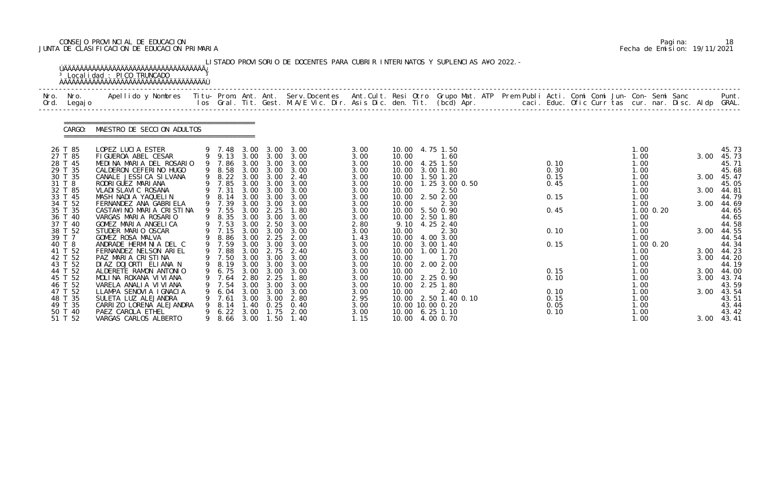## CONSEJO PROVINCIAL DE EDUCACION Pagina: 18 JUNTA DE CLASIFICACION DE EDUCACION PRIMARIA Fecha de Emision: 19/11/2021

|              |                               | <sup>3</sup> Local i dad : PICO TRUNCADO                                                                                                 |   |                                      |              |                                   | LISTADO PROVISORIO DE DOCENTES PARA CUBRIR INTERINATOS Y SUPLENCIAS A¥O 2022. –                                          |                      |                        |                                            |  |              |  |                      |                |      |                          |
|--------------|-------------------------------|------------------------------------------------------------------------------------------------------------------------------------------|---|--------------------------------------|--------------|-----------------------------------|--------------------------------------------------------------------------------------------------------------------------|----------------------|------------------------|--------------------------------------------|--|--------------|--|----------------------|----------------|------|--------------------------|
| Nro.<br>Ord. | Nro.<br>Legaj o               | Apellido y Nombres Titu- Prom. Ant. Ant. Serv.Docentes Ant.Cult. Resi Otro Grupo Mat. ATP Prem Publi Acti. Comi Comi Jun- Con- Semi Sanc |   |                                      |              |                                   | los Gral. Tit. Gest. M.A/E Vic. Dir. Asis Dic. den. Tit. (bcd) Apr. caci. Educ. Ofic Curr tas cur. nar. Disc. Aldp GRAL. |                      |                        |                                            |  |              |  |                      |                |      | Punt.                    |
|              | CARGO:                        | MAESTRO DE SECCION ADULTOS                                                                                                               |   |                                      |              |                                   |                                                                                                                          |                      |                        |                                            |  |              |  |                      |                |      |                          |
|              | 26 T 85                       | LOPEZ LUCIA ESTER                                                                                                                        |   |                                      |              |                                   | 9 7.48 3.00 3.00 3.00                                                                                                    | 3.00                 |                        | 10.00 4.75 1.50                            |  |              |  | 1.00                 |                |      | 45.73                    |
|              | 27 T 85<br>28 T 45<br>29 T 35 | FIGUEROA ABEL CESAR<br>MEDINA MARIA DEL ROSARIO<br>CALDERON CEFERINO HUGO                                                                |   | 9 9.13 3.00 3.00<br>9 7.86<br>9 8.58 | 3.00<br>3.00 | 3.00<br>3.00                      | 3.00<br>3.00<br>3.00                                                                                                     | 3.00<br>3.00<br>3.00 | 10.00<br>10.00         | 1.60<br>10.00 4.25 1.50<br>3.00 1.80       |  | 0.10<br>0.30 |  | 1.00<br>1.00<br>1.00 |                | 3.00 | 45.73<br>45.71<br>45.68  |
|              | 30 T 35<br>31 T 8             | CANALE JESSI CA SI LVANA<br>RODRI GUEZ MARI ANA                                                                                          |   | 9 8.22<br>7.85                       | 3.00         | 3.00                              | 3.00 3.00 2.40<br>3.00                                                                                                   | 3.00<br>3.00         | 10.00                  | 10.00  1.50  1.20<br>1.25 3.00 0.50        |  | 0.15<br>0.45 |  | 1.00<br>1.00         |                | 3.00 | 45.47<br>45.05           |
|              | 32 T 85<br>33 T 45            | VLADI SLAVI C ROSANA<br>MASH NADIA YAQUELIN                                                                                              | 9 | 9 7.31<br>8.14                       | 3.00         | 3.00<br>3.00 3.00                 | 3.00<br>3.00                                                                                                             | 3.00<br>3.00         | 10.00                  | 2.50<br>10.00 2.50 2.00                    |  | 0.15         |  | 1.00<br>1.00         |                | 3.00 | 44.81<br>44.79           |
|              | 34 T 52<br>35 T 35<br>36 T 40 | FERNANDEZ ANA GABRIELA<br>CASTA¥INO MARIA CRISTINA<br>VARGAS MARIA ROSARIO                                                               |   | 9 7.39<br>9 7.55<br>8.35             | 3.00<br>3.00 | 3.00<br>2.25<br>3.00 3.00         | 3.00<br>1.80<br>3.00                                                                                                     | 3.00<br>3.00<br>3.00 | 10.00                  | 2.30<br>10.00 5.50 0.90<br>10.00 2.50 1.80 |  | 0.45         |  | 1.00<br>1.00         | $1.00 \, 0.20$ | 3.00 | 44.69<br>44.65<br>44.65  |
|              | 37 T 40<br>38 T 52<br>39 T 7  | GOMEZ MARIA ANGELICA<br>STUDER MARIO OSCAR<br>GOMEZ ROSA MALVA                                                                           | 9 | 9 7.53<br>9 7.15<br>8.86             | 3.00<br>3.00 | 2.50<br>3.00<br>$3.00 \quad 2.25$ | 3.00<br>3.00<br>2.00                                                                                                     | 2.80<br>3.00<br>1.43 | 9.10<br>10.00<br>10.00 | 4.25 2.40<br>2.30<br>4.00 3.00             |  | 0.10         |  | 1.00<br>1.00<br>1.00 |                | 3.00 | 44.58<br>44.55<br>44.54  |
|              | 40 T 8<br>41 T 52             | ANDRADE HERMINIA DEL C<br>FERNANDEZ NELSON ARIEL                                                                                         |   | 9 7.59<br>9 7.88                     | 3.00<br>3.00 | 3.00<br>2.75                      | 3.00<br>2.40                                                                                                             | 3.00<br>3.00         | 10.00<br>10.00         | 3.00 1.40<br>1.00 1.20                     |  | 0.15         |  | 1.00                 | $1.00$ 0.20    |      | 44.34<br>3.00 44.23      |
|              | 42 T 52<br>43 T 52            | PAZ MARIA CRISTINA<br>DIAZ DOJORTI ELIANA N                                                                                              |   | 9 7.50 3.00 3.00<br>9 8.19           | 3.00         | 3.00                              | 3.00<br>3.00                                                                                                             | 3.00<br>3.00         | 10.00                  | 1.70<br>10.00 2.00 2.00                    |  |              |  | 1.00<br>1.00         |                | 3.00 | 44.20<br>44.19           |
|              | 44 T 52<br>45 T 52            | ALDERETE RAMON ANTONIO<br>MOLINA ROXANA VIVIANA                                                                                          |   | 9 6.75 3.00 3.00<br>. 64             | 2.80         | 2.25                              | 3.00<br>1.80                                                                                                             | 3.00<br>3.00         | 10.00                  | 2.10<br>10.00 2.25 0.90                    |  | 0.15<br>0.10 |  | 1.00<br>1.00         |                |      | 3.00 44.00<br>3.00 43.74 |
|              | 46 T 52<br>47 T 52            | VARELA ANALIA VIVIANA<br>LLAMPA SENOVIA IGNACIA                                                                                          |   | 7.54<br>6.04                         | 3.00<br>3.00 | 3.00<br>3.00                      | 3.00<br>3.00                                                                                                             | 3.00<br>3.00         | 10.00                  | 10.00 2.25 1.80<br>2.40                    |  | 0.10         |  | 1.00<br>1.00         |                | 3.00 | 43.59<br>43.54           |
|              | 48 T 35<br>49 T 35            | SULETA LUZ ALEJANDRA<br>CARRIZO LORENA ALEJANDRA                                                                                         |   | 7.61<br>8.14                         | 3.00<br>40   | 3.00<br>0.25                      | 2.80<br>0.40                                                                                                             | 2.95<br>3.00         |                        | 10.00 2.50 1.40 0.10<br>10.00 10.00 0.20   |  | 0.15<br>0.05 |  | 1.00<br>1.00         |                |      | 43.51<br>43.44           |
|              | 50 T 40<br>51 T 52            | PAEZ CAROLA ETHEL<br>VARGAS CARLOS ALBERTO                                                                                               |   | 6.22                                 | 3.00         | 1.75<br>8.66 3.00 1.50            | 2.00<br>1.40                                                                                                             | 3.00<br>1.15         |                        | 10.00 6.25 1.10<br>10.00 4.00 0.70         |  | 0.10         |  | 1.00<br>1.00         |                |      | 43.42<br>3.00 43.41      |

|  | Pagi na: | 18                           |
|--|----------|------------------------------|
|  |          | Fecha de Emision: 19/11/2021 |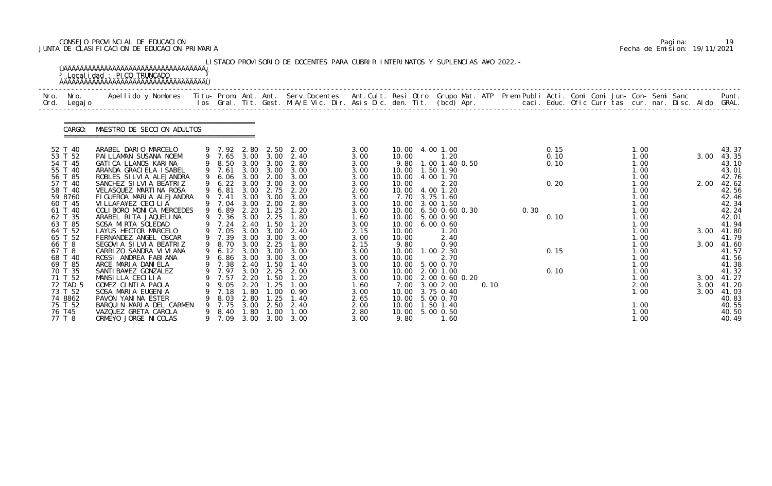## CONSEJO PROVINCIAL DE EDUCACION Pagina: 19 JUNTA DE CLASIFICACION DE EDUCACION PRIMARIA Fecha de Emision: 19/11/2021

|              |                                           | <sup>3</sup> Localidad : PICO TRUNCADO<br><b>AAAAAAAAAAAAAAAAAAAAAAAAAAAAAAAAAAAA</b>                                                                                                                                             |   |                                           |                              |                                               | LISTADO PROVISORIO DE DOCENTES PARA CUBRIR INTERINATOS Y SUPLENCIAS A¥O 2022. - |                              |                                  |                                                       |      |      |              |  |                              |  |                      |                                   |
|--------------|-------------------------------------------|-----------------------------------------------------------------------------------------------------------------------------------------------------------------------------------------------------------------------------------|---|-------------------------------------------|------------------------------|-----------------------------------------------|---------------------------------------------------------------------------------|------------------------------|----------------------------------|-------------------------------------------------------|------|------|--------------|--|------------------------------|--|----------------------|-----------------------------------|
| Nro.<br>Ord. | Nro.<br>Legaj o                           | .Apellido y Nombres  Titu- Prom. Ant. Ant.  Serv.Docentes  Ant.Cult. Resi Otro  Grupo Mat. ATP  Prem Publi Acti. Comi Comi Jun- Con- Semi Sanc              Punt<br>Ios Gral. Tit. Gest. M.A/E Vic. Dir. Asis Dic. den. Tit. (bcd |   |                                           |                              |                                               |                                                                                 |                              |                                  |                                                       |      |      |              |  |                              |  |                      |                                   |
|              | CARGO:                                    | MAESTRO DE SECCION ADULTOS                                                                                                                                                                                                        |   |                                           |                              |                                               |                                                                                 |                              |                                  |                                                       |      |      |              |  |                              |  |                      |                                   |
|              | 52 T 40                                   | ARABEL DARIO MARCELO                                                                                                                                                                                                              |   | 9 7.92 2.80 2.50                          |                              |                                               | 2.00                                                                            | 3.00                         |                                  | 10.00 4.00 1.00                                       |      |      | 0.15         |  | 1.00                         |  |                      | 43.37                             |
|              | 53 T 52<br>54 T 45<br>55 T 40<br>56 T 85  | PAI LLAMAN SUSANA NOEMI<br>GATICA LLANOS KARINA<br>ARANDA GRACIELA I SABEL<br>ROBLES SILVIA ALEJANDRA                                                                                                                             |   | 9 7.65<br>9 7.61<br>6.06                  | 3.00                         | 3.00 3.00<br>3.00 3.00<br>2.00                | 2.40<br>9 8.50 3.00 3.00 2.80<br>3.00<br>3.00                                   | 3.00<br>3.00<br>3.00<br>3.00 | 10.00<br>10.00<br>10.00          | 1.20<br>9.80 1.00 1.40 0.50<br>1.50 1.90<br>4.00 1.70 |      |      | 0.10<br>0.10 |  | 1.00<br>1.00<br>1.00<br>1.00 |  | 3.00                 | 43.35<br>43.10<br>43.01<br>42.76  |
|              | 57 T 40<br>58 T 40<br>59 8760<br>60 T 45  | SANCHEZ SILVIA BEATRIZ<br>VELASQUEZ MARTINA ROSA<br>FIGUEROA MARIA ALEJANDRA<br>VI LLAFA¥EZ CECI LI A                                                                                                                             |   | 9 6.22 3.00<br>9 6.81<br>9 7.41<br>9 7.04 | 3.00<br>3.00<br>3.00         | 3.00<br>2.75<br>3.00<br>2.00                  | 3.00<br>2.20<br>3.00<br>2.80                                                    | 3.00<br>2.60<br>3.00<br>3.00 | 10.00<br>10.00<br>7.70<br>10.00  | 2.20<br>4.00 1.20<br>3.75 1.60<br>3.00 1.50           |      |      | 0.20         |  | 1.00<br>1.00<br>1.00<br>1.00 |  | 2.00                 | 42.62<br>42.56<br>42.46<br>42.34  |
|              | 61 T 40<br>62 T 35<br>63 T 85<br>64 T 52  | COLIBORO MONICA MERCEDES<br>ARABEL RITA JAQUELINA<br>SOSA MIRTA SOLEDAD<br>LAYUS HECTOR MARCELO                                                                                                                                   |   | 9 6.89<br>9 7.36<br>9 7.24<br>9 7.05      | 2.20<br>3.00<br>2.40<br>3.00 | 1.25<br>2.25<br>1.50<br>3.00                  | 1.20<br>1.80<br>1.20<br>2.40                                                    | 3.00<br>1.60<br>3.00<br>2.15 | 10.00<br>10.00<br>10.00<br>10.00 | 6.50 0.60 0.30<br>5.00 0.90<br>$6.00\,0.60$<br>1.20   |      | 0.30 | 0.10         |  | 1.00<br>1.00<br>1.00<br>1.00 |  | 3.00                 | 42.24<br>42.01<br>41.94<br>41.80  |
|              | 65 T 52<br>66 T 8                         | FERNANDEZ ANGEL OSCAR<br>SEGOVIA SILVIA BEATRIZ                                                                                                                                                                                   |   | 9 7.39<br>9 8.70                          | 3.00<br>3.00                 | 3.00<br>2.25                                  | 3.00<br>1.80                                                                    | 3.00<br>2.15                 | 10.00<br>9.80                    | 2.40<br>0.90                                          |      |      |              |  | 1.00<br>1.00                 |  | 3.00                 | 41.79<br>41.60                    |
|              | 67 T 8<br>68 T 40<br>69 T 85              | CARRIZO SANDRA VI VI ANA<br>ROSSI ANDREA FABIANA<br>ARCE MARIA DANIELA                                                                                                                                                            |   | 9 6.12<br>9 7.38 2.40 1.50                |                              | 3.00 3.00                                     | 3.00<br>6.86 3.00 3.00 3.00<br>1.40                                             | 3.00<br>3.00<br>3.00         | 10.00<br>10.00<br>10.00          | 1.002.30<br>2.70<br>5.00 0.70                         |      |      | 0.15         |  | 1.00<br>1.00<br>1.00         |  |                      | 41.57<br>41.56<br>41.38           |
|              | 70 T 35<br>71 T 52<br>72 TAD 5<br>73 T 52 | SANTI BA¥EZ GONZALEZ<br>MANSILLA CECILIA<br>GOMEZ CINTIA PAOLA<br>SOSA MARIA EUGENIA                                                                                                                                              |   | 9 7.97 3.00 2.25<br>7.57<br>9.05<br>7.18  | 2.20<br>2.20<br>1.80         | 1.50<br>1.25<br>$\overline{\phantom{0}}$ . 00 | 2.00<br>1. 20<br>1.00<br>0.90                                                   | 3.00<br>3.00<br>1.60<br>3.00 | 10.00<br>10.00<br>7.00<br>10.00  | 2.00 1.00<br>2.00 0.60 0.20<br>3.00 2.00<br>3.75 0.40 | 0.10 |      | 0.10         |  | 1.00<br>1.00<br>2.00<br>1.00 |  | 3.00<br>3.00<br>3.00 | 41.32<br>41. 27<br>41.20<br>41.03 |
|              | 74 8862<br>75 T 52<br>76 T45<br>77 T 8    | PAVON YANINA ESTER<br>BARQUIN MARIA DEL CARMEN<br>VAZQUEZ GRETA CAROLA<br>ORME¥O JORGE NICOLAS                                                                                                                                    | 9 | 8.03<br>7.75<br>8.40<br>9 7.09            | 2.80<br>3.00<br>1.80         | 1.25<br>2.50<br>1.00<br>3.00 3.00             | 1.40<br>2.40<br>1.00<br>3.00                                                    | 2.65<br>2.00<br>2.80<br>3.00 | 10.00<br>10.00<br>10.00<br>9.80  | 5.00 0.70<br>1.50 1.40<br>5.00 0.50<br>1.60           |      |      |              |  | 1.00<br>1.00<br>1.00         |  |                      | 40.83<br>40.55<br>40.50<br>40.49  |

|  | Pagi na: |                              |
|--|----------|------------------------------|
|  |          | Fecha de Emision: 19/11/2021 |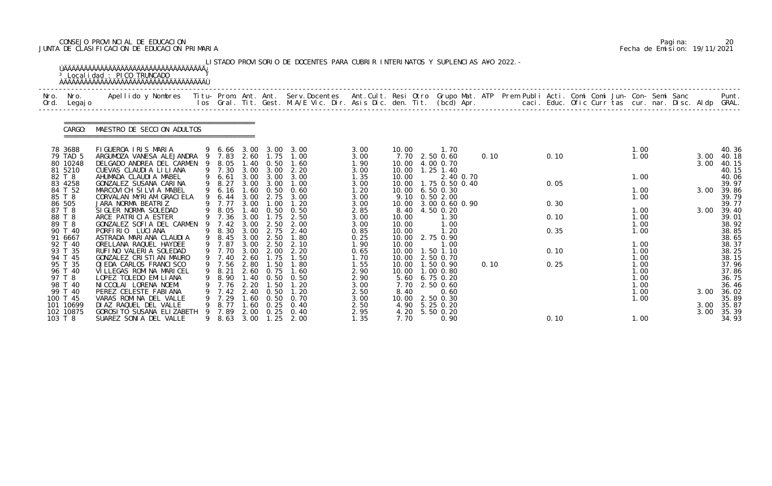## CONSEJO PROVINCIAL DE EDUCACION Pagina: 20 JUNTA DE CLASIFICACION DE EDUCACION PRIMARIA Fecha de Emision: 19/11/2021

|              |                                                    | <sup>3</sup> Localidad : PICO TRUNCADO                                                                                                   |   |                                              |                              |                                                        | LISTADO PROVISORIO DE DOCENTES PARA CUBRIR INTERINATOS Y SUPLENCIAS A¥O 2022. -                                                |                                      |                               |                                                                                    |      |              |  |                              |  |                      |                                           |
|--------------|----------------------------------------------------|------------------------------------------------------------------------------------------------------------------------------------------|---|----------------------------------------------|------------------------------|--------------------------------------------------------|--------------------------------------------------------------------------------------------------------------------------------|--------------------------------------|-------------------------------|------------------------------------------------------------------------------------|------|--------------|--|------------------------------|--|----------------------|-------------------------------------------|
| Nro.<br>Ord. | Nro.<br>Legaj o                                    | Apellido y Nombres Titu- Prom. Ant. Ant. Serv.Docentes Ant.Cult. Resi Otro Grupo Mat. ATP Prem Publi Acti. Comi Comi Jun- Con- Semi Sanc |   |                                              |                              |                                                        | los Gral. Tit. Gest. M.A/E Vic. Dir. Asis Dic. den. Tit. (bcd) Apr.       caci. Educ. Ofic Curr tas cur. nar. Disc. Aldp GRAL. |                                      |                               |                                                                                    |      |              |  |                              |  |                      | Punt.                                     |
|              | CARGO:                                             | MAESTRO DE SECCION ADULTOS                                                                                                               |   |                                              |                              |                                                        |                                                                                                                                |                                      |                               |                                                                                    |      |              |  |                              |  |                      |                                           |
|              | 78 3688<br>79 TAD 5<br>80 10248<br>81 5210         | FIGUEROA IRIS MARIA<br>ARGUMOZA VANESA ALEJANDRA 9 7.83<br>DELGADO ANDREA DEL CARMEN<br>CUEVAS CLAUDIA LILIANA                           |   | 9 6.66 3.00 3.00<br>9 8.05<br>9 7.30         | 2.60<br>1.40<br>3.00         | 1.75<br>0.50<br>3.00                                   | 3.00<br>1.00<br>1.60<br>2.20                                                                                                   | 3.00<br>3.00<br>1.90<br>3.00         | 10.00<br>10.00                | 1. 70<br>7.70 2.50 0.60<br>4.00 0.70<br>10.00  1.25  1.40                          | 0.10 | 0.10         |  | 1.00<br>1.00                 |  | 3.00<br>3.00         | 40.36<br>40.18<br>40.15<br>40.15          |
|              | 82 T 8<br>83 4258<br>84 T 52<br>85 T 8<br>86 505   | AHUMADA CLAUDIA MABEL<br>GONZALEZ SUSANA CARINA<br>MARCOVICH SILVIA MABEL<br>CORVALAN MYRIAM GRACI ELA<br>JARA NORMA BEATRIZ             |   | 9 6.61<br>9 8.27<br>9 6.16<br>6.44<br>9 7.77 | 3.00<br>3.00<br>3.00         | 3.00 3.00<br>3.00<br>$1.60 \quad 0.50$<br>2.75<br>1.00 | 3.00<br>1.00<br>0.60<br>3.00<br>1.20                                                                                           | 1.35<br>3.00<br>1.20<br>3.00<br>3.00 | 10.00<br>10.00<br>10.00       | 2.40 0.70<br>1.75 0.50 0.40<br>10.00 6.50 0.30<br>9.10 0.50 2.00<br>3.00 0.60 0.90 |      | 0.05<br>0.30 |  | 1.00<br>1.00<br>1.00         |  | 3.00                 | 40.06<br>39.97<br>39.86<br>39.79<br>39.77 |
|              | 87 T 8<br>88 T 8<br>89 T 8<br>90 T 40              | SIGLER NORMA SOLEDAD<br>ARCE PATRICIA ESTER<br>GONZALEZ SOFIA DEL CARMEN<br>PORFIRIO LUCIANA                                             |   | 8.05<br>9 7.36<br>7.42<br>9 8.30             | 3.00<br>3.00<br>3.00         | 1.40 0.50<br>1.75<br>2.50<br>2.75                      | 0. 50<br>2.50<br>2.00<br>2.40                                                                                                  | 2.85<br>3.00<br>3.00<br>0.85         | 10.00<br>10.00<br>10.00       | 8.40 4.50 0.20<br>1.30<br>1.00<br>1.20                                             |      | 0.10<br>0.35 |  | 1.00<br>1.00<br>1.00<br>1.00 |  | 3.00                 | 39.40<br>39.01<br>38.92<br>38.85          |
|              | 91 6667<br>92 T 40<br>93 T 35<br>94 T 45           | ASTRADA MARIANA CLAUDIA<br>ORELLANA RAQUEL HAYDEE<br>RUFINO VALERIA SOLEDAD<br>GONZALEZ CRISTIAN MAURO                                   |   | 9 8.45<br>9 7.87<br>9 7.70<br>9 7.40         | 3.00<br>3.00<br>3.00<br>2.60 | 2.50<br>2.50<br>2.00<br>1.75                           | 1.80<br>2.10<br>2.20<br>1.50                                                                                                   | 0.25<br>1.90<br>0.65<br>1.70         | 10.00                         | 10.00 2.75 0.90<br>1.00<br>10.00  1.50  1.10<br>10.00 2.50 0.70                    |      | 0.10         |  | 1.00<br>1.00<br>1.00         |  |                      | 38.65<br>38.37<br>38.25<br>38.15          |
|              | 95 T 35<br>96 T 40<br>97 T 8<br>98 T 40<br>99 T 40 | OJEDA CARLOS FRANCISCO<br>VILLEGAS ROMINA MARICEL<br>LOPEZ TOLEDO EMI LI ANA<br>NI CCOLAI LORENA NOEMI<br>PEREZ CELESTE FABIANA          |   | 9 7.56 2.80<br>9 8.21<br>8.90<br>7. 76       | 1. 40<br>2.20<br>2.40        | 1.50<br>2.60 0.75<br>0. 50<br>. 50<br>0.50             | 1.80<br>1.60<br>0. 50<br>l . 20<br>1.20                                                                                        | 1.55<br>2.90<br>2.90<br>3.00         | 7.70                          | 10.00  1.50  0.90<br>10.00 1.00 0.80<br>5.60 6.75 0.20<br>2.50 0.60<br>0.60        | 0.10 | 0.25         |  | 1.00<br>1.00<br>1.00<br>1.00 |  |                      | 37.96<br>37.86<br>36.75<br>36.46<br>36.02 |
|              | 100 T 45<br>101 10699<br>102 10875<br>103 T 8      | VARAS ROMINA DEL VALLE<br>DI AZ RAQUEL DEL VALLE<br>GOROSI TO SUSANA ELIZABETH<br>SUAREZ SONIA DEL VALLE                                 | 9 | 7.42<br>7.29<br>8.77<br>7.89<br>8.63         | 1.60<br>. 60<br>2.00<br>3.00 | 0.50<br>0.25<br>0.25<br>1.25                           | 0.70<br>0.40<br>0.40<br>2.00                                                                                                   | 2.50<br>3.00<br>2.50<br>2.95<br>1.35 | 8.40<br>10.00<br>4.20<br>7.70 | 2.50 0.30<br>4.90 5.25 0.20<br>5.50 0.20<br>0.90                                   |      | 0.10         |  | 1.00<br>1.00<br>1.00         |  | 3.00<br>3.00<br>3.00 | 35.89<br>35.87<br>35.39<br>34.93          |

|  | Pagi na: | 20                           |
|--|----------|------------------------------|
|  |          | Fecha de Emision: 19/11/2021 |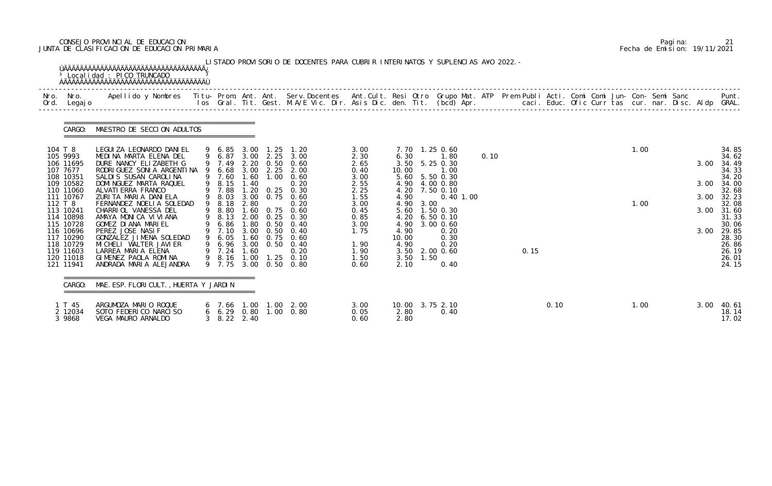## CONSEJO PROVINCIAL DE EDUCACION Pagina: 21 JUNTA DE CLASIFICACION DE EDUCACION PRIMARIA Fecha de Emision: 19/11/2021

|                                            | Nro. Nro.<br>Ord. Legajo                                                                                                                                                           | Apellido y Nombres - Titu- Prom. Ant. Ant. Serv.Docentes - Ant.Cult. Resi Otro Grupo Mat. ATP Prem Publi Acti. Comi Comi Jun- Con- Semi Sanc - - - Punt.<br>Ios Gral. Tit. Gest. M.A/E Vic. Dir. Asis Dic. den. Tit. (bcd) Apr. -                                                                                                                                                                                                                                   |   |                                                                                                                                                                                |                              |                                                                                                                                                                                                                                                                                                     |                                                                                                                                      |                                                                                                                                                                                                                         |                                                                                                    |      |      |      |  |              |  |                                      |                                                                                                                                                                |
|--------------------------------------------|------------------------------------------------------------------------------------------------------------------------------------------------------------------------------------|---------------------------------------------------------------------------------------------------------------------------------------------------------------------------------------------------------------------------------------------------------------------------------------------------------------------------------------------------------------------------------------------------------------------------------------------------------------------|---|--------------------------------------------------------------------------------------------------------------------------------------------------------------------------------|------------------------------|-----------------------------------------------------------------------------------------------------------------------------------------------------------------------------------------------------------------------------------------------------------------------------------------------------|--------------------------------------------------------------------------------------------------------------------------------------|-------------------------------------------------------------------------------------------------------------------------------------------------------------------------------------------------------------------------|----------------------------------------------------------------------------------------------------|------|------|------|--|--------------|--|--------------------------------------|----------------------------------------------------------------------------------------------------------------------------------------------------------------|
|                                            |                                                                                                                                                                                    | CARGO: MAESTRO DE SECCION ADULTOS                                                                                                                                                                                                                                                                                                                                                                                                                                   |   |                                                                                                                                                                                |                              |                                                                                                                                                                                                                                                                                                     |                                                                                                                                      |                                                                                                                                                                                                                         |                                                                                                    |      |      |      |  |              |  |                                      |                                                                                                                                                                |
| 104 T 8<br>105 9993<br>107 7677<br>112 T 8 | 106 11695<br>108 10351<br>109 10582<br>110 11060<br>111 10767<br>113 10241<br>114 10898<br>115 10728<br>116 10696<br>117 10290<br>118 10729<br>119 11603<br>120 11018<br>121 11941 | LEGUI ZA LEONARDO DANI EL<br>MEDINA MARTA ELENA DEL<br>DURE NANCY ELIZABETH G<br>RODRI GUEZ SONI A ARGENTI NA<br>SALDIS SUSAN CAROLINA<br>DOMINGUEZ MARTA RAQUEL<br>ALVATI ERRA FRANCO<br>ZURITA MARIA DANIELA<br>FERNANDEZ NOELIA SOLEDAD<br>CHARRIOL VANESSA DEL<br>AMAYA MONICA VIVIANA<br>GOMEZ DI ANA MARI EL<br>PEREZ JOSE NASIF<br>GONZALEZ JIMENA SOLEDAD<br>MICHELI WALTER JAVIER<br>LARREA MARIA ELENA<br>GIMENEZ PAOLA ROMINA<br>ANDRADA MARIA ALEJANDRA | 9 | 9 6.85 3.00<br>9 6.87<br>9 7.49<br>6.68 3.00 2.25<br>9 7.60<br>9 8.15<br>9 7.88<br>9 8.03<br>9 8.18<br>9 8.80<br>9 8.13<br>9 6.86<br>9 7.10<br>9 6.05<br>9 7.24 1.60<br>9 7.75 | 2.20<br>1.40<br>2.80<br>1.80 | $1.25$ 1.20<br>3.00 2.25 3.00<br>$0.50$ 0.60<br>2.00<br>1.60 1.00 0.60<br>0.20<br>1.20 0.25 0.30<br>3.00 0.75 0.60<br>0.20<br>1.60 0.75 0.60<br>2.00 0.25 0.30<br>$0.50 \quad 0.40$<br>3.00 0.50 0.40<br>1.60 0.75 0.60<br>9 6.96 3.00 0.50 0.40<br>0.20<br>9 8.16 1.00 1.25 0.10<br>3.00 0.50 0.80 | 3.00<br>2.30<br>2.65<br>0.40<br>3.00<br>2.55<br>2.25<br>1.55<br>3.00<br>0.45<br>0.85<br>3.00<br>1.75<br>1.90<br>1.90<br>1.50<br>0.60 | 7.70 1.25 0.60<br>6.30<br>3.50<br>10.00<br>5.60<br>4.90 4.00 0.80<br>4.20 7.50 0.10<br>4.90<br>3.00<br>4.90<br>5.60 1.50 0.30<br>4.20 6.50 0.10<br>4.90<br>4.90<br>10.00<br>4.90<br>3.50 2.00 0.60<br>3.50 1.50<br>2.10 | 1.80<br>5.25 0.30<br>1.00<br>5.50 0.30<br>$0.40$ 1.00<br>3.00 0.60<br>0.20<br>0.30<br>0.20<br>0.40 | 0.10 | 0.15 |      |  | 1.00<br>1.00 |  | 3.00<br>3.00<br>3.00<br>3.00<br>3.00 | 34.85<br>34.62<br>34.49<br>34.33<br>34.20<br>34.00<br>32.68<br>32.23<br>32.08<br>31.60<br>31.33<br>30.06<br>29.85<br>28.30<br>26.86<br>26.19<br>26.01<br>24.15 |
|                                            | CARGO:                                                                                                                                                                             | MAE. ESP. FLORI CULT., HUERTA Y JARDIN                                                                                                                                                                                                                                                                                                                                                                                                                              |   |                                                                                                                                                                                |                              |                                                                                                                                                                                                                                                                                                     |                                                                                                                                      |                                                                                                                                                                                                                         |                                                                                                    |      |      |      |  |              |  |                                      |                                                                                                                                                                |
|                                            | 1 T 45<br>2 12034<br>3 9868                                                                                                                                                        | ARGUMOZA MARIO ROQUE<br>SOTO FEDERICO NARCISO<br>VEGA MAURO ARNALDO                                                                                                                                                                                                                                                                                                                                                                                                 |   | 3 8.22 2.40                                                                                                                                                                    |                              | 6 7.66 1.00 1.00 2.00<br>$6\quad 6.29\quad 0.80\quad 1.00\quad 0.80$                                                                                                                                                                                                                                | 3.00<br>0.05<br>0.60                                                                                                                 | 10.00 3.75 2.10<br>2.80<br>2.80                                                                                                                                                                                         | 0.40                                                                                               |      |      | 0.10 |  | 1.00         |  | 3.00                                 | 40.61<br>18.14<br>17.02                                                                                                                                        |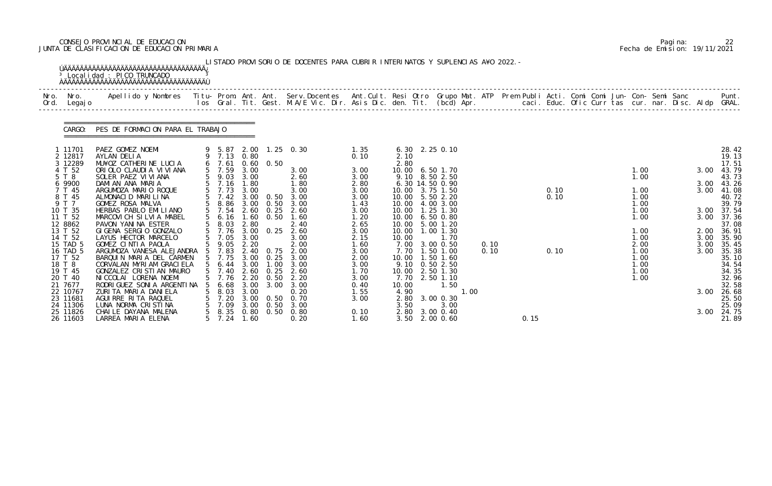## CONSEJO PROVINCIAL DE EDUCACION Pagina: 22 JUNTA DE CLASIFICACION DE EDUCACION PRIMARIA Fecha de Emision: 19/11/2021

|              | LISTADO PROVISORIO DE DOCENTES PARA CUBRIR INTERINATOS Y SUPLENCIAS A¥O 2022. -<br><sup>3</sup> Local i dad : PICO TRUNCADO |                                                                                                                                                                                                                                   |  |                                                                |                              |                                                                |                                              |                                              |                                                                                 |                               |      |      |              |  |                                      |  |                      |                                                    |
|--------------|-----------------------------------------------------------------------------------------------------------------------------|-----------------------------------------------------------------------------------------------------------------------------------------------------------------------------------------------------------------------------------|--|----------------------------------------------------------------|------------------------------|----------------------------------------------------------------|----------------------------------------------|----------------------------------------------|---------------------------------------------------------------------------------|-------------------------------|------|------|--------------|--|--------------------------------------|--|----------------------|----------------------------------------------------|
| Nro.<br>Ord. | Nro.<br>Legaj o                                                                                                             | Apellido y Nombres  Titu- Prom. Ant. Ant. Serv.Docentes  Ant.Cult. Resi Otro Grupo Mat. ATP Prem Publi Acti. Comi Comi Jun- Con- Semi Sanc           Punt.<br>Ios Gral. Tit. Gest. M.A/E Vic. Dir. Asis Dic. den. Tit. (bcd) Apr. |  |                                                                |                              |                                                                |                                              |                                              |                                                                                 |                               |      |      |              |  |                                      |  |                      |                                                    |
|              | CARGO:                                                                                                                      | PES DE FORMACION PARA EL TRABAJO                                                                                                                                                                                                  |  |                                                                |                              |                                                                |                                              |                                              |                                                                                 |                               |      |      |              |  |                                      |  |                      |                                                    |
|              | 1 11701<br>2 12817<br>3 12289                                                                                               | PAEZ GOMEZ NOEMI<br>AYLAN DELIA<br>MU¥OZ CATHERINE LUCIA                                                                                                                                                                          |  | 9 5.87 2.00<br>9 7.13 0.80<br>$6$ 7.61                         | 0.60                         | 0.50                                                           | $1.25 \quad 0.30$                            | 1.35<br>0.10                                 | 6.30 2.25 0.10<br>2.10<br>2.80                                                  |                               |      |      |              |  |                                      |  |                      | 28.42<br>19.13<br>17.51                            |
|              | 4 T 52<br>5 T 8                                                                                                             | ORIOLO CLAUDIA VIVIANA<br>SOLER PAEZ VI VI ANA                                                                                                                                                                                    |  | 5 7.59<br>$\begin{array}{cc} 5 & 9.03 \\ 5 & 7.16 \end{array}$ | 3.00<br>3.00                 |                                                                | 3.00<br>2.60                                 | 3.00<br>3.00                                 | 10.00<br>9.10 8.50 2.50                                                         | 6.50 1.70                     |      |      |              |  | 1.00<br>1.00                         |  | 3.00                 | 43.79<br>43.73                                     |
|              | 6 9900<br>7 T 45<br>8 T 45<br>9 T 7                                                                                         | DAMIAN ANA MARIA<br>ARGUMOZA MARIO ROQUE<br>ALMONACID MARILINA<br>GOMEZ ROSA MALVA                                                                                                                                                |  | 5 7.73<br>5 7.42 3.00<br>8.86                                  | 1.80<br>3.00<br>3.00         | 0.50<br>0.50                                                   | 1.80<br>3.00<br>3.00<br>3.00                 | 2.80<br>3.00<br>3.00<br>1.43                 | 6.30 14.50 0.90<br>10.00 3.75 1.50<br>10.00 5.50 2.20<br>10.00                  | 4.00 3.00                     |      |      | 0.10<br>0.10 |  | 1.00<br>1.00<br>1.00                 |  | 3.00<br>3.00         | 43.26<br>41.08<br>40.72<br>39.79                   |
|              | 10 T 35<br>11 T 52<br>12 8862                                                                                               | HERBAS PABLO EMILIANO<br>MARCOVICH SILVIA MABEL<br>PAVON YANINA ESTER                                                                                                                                                             |  | 7.54<br>$5\quad 6.16$<br>8.03                                  | 2.60<br>1.60<br>2.80         | 0.25<br>0.50                                                   | 2.60<br>1.60<br>2.40                         | 3.00<br>1.20<br>2.65                         | 10.00<br>10.00 6.50 0.80<br>10.00                                               | $1.25$ 1.30<br>5.00 1.20      |      |      |              |  | 1.00<br>1.00                         |  | 3.00                 | 3.00 37.54<br>37.36<br>37.08                       |
|              | 13 T 52<br>14 T 52<br>15 TAD 5                                                                                              | GIGENA SERGIO GONZALO<br>LAYUS HECTOR MARCELO<br>GOMEZ CINTIA PAOLA                                                                                                                                                               |  | 5 7.76<br>5  7  05<br>5  9  05                                 | 3.00<br>3.00<br>2.20         | 0.25                                                           | 2.60<br>3.00<br>2.00                         | 3.00<br>2.15<br>1.60                         | 10.00 1.00 1.30<br>10.00<br>7.00                                                | 1.70<br>3.00 0.50             | 0.10 |      |              |  | 1.00<br>1.00<br>2.00                 |  | 2.00<br>3.00<br>3.00 | 36.91<br>35.90<br>35.45                            |
|              | 16 TAD 5<br>17 T 52<br>18 T 8<br>19 T 45<br>20 T 40<br>21 7677                                                              | ARGUMOZA VANESA ALEJANDRA<br>BARQUIN MARIA DEL CARMEN<br>CORVALAN MYRIAM GRACIELA<br>GONZALEZ CRISTIAN MAURO<br>NI CCOLAI LORENA NOEMI<br>RODRI GUEZ SONI A ARGENTI NA                                                            |  | 5 7.83<br>5 7.75<br>5 6.44<br>5 7.40<br>7. 76<br>6. 68         | 3.00<br>2.60<br>2.20<br>3.00 | 2.40 0.75<br>$3.00 \quad 0.25$<br>1.00<br>0.25<br>0.50<br>3.00 | 2.00<br>3.00<br>3.00<br>2.60<br>2.20<br>3.00 | 3.00<br>2.00<br>3.00<br>1.70<br>3.00<br>0.40 | 7.70 1.50 1.00<br>10.00  1.50  1.60<br>9.10<br>10.00 2.50 1.30<br>7.70<br>10.00 | 0.502.50<br>2.50 1.10<br>1.50 | 0.10 |      | 0.10         |  | 1.00<br>1.00<br>1.00<br>1.00<br>1.00 |  | 3.00                 | 35.38<br>35.10<br>34.54<br>34.35<br>32.96<br>32.58 |
|              | 22 10767<br>23 11681<br>24 11306                                                                                            | ZURITA MARIA DANIELA<br>AGUIRRE RITA RAQUEL<br>LUNA NORMA CRISTINA                                                                                                                                                                |  | 8.03<br>7.20<br>7.09                                           | 3.00<br>3.00<br>3.00         | 0. 50<br>0.50                                                  | 0.20<br>0.70<br>3.00                         | 1.55<br>3.00                                 | 4.90<br>2.80<br>3.50                                                            | 1.00<br>3.00 0.30<br>3.00     |      |      |              |  |                                      |  | 3.00                 | 26.68<br>25.50<br>25.09                            |
|              | 25 11826<br>26 11603                                                                                                        | CHAILE DAYANA MALENA<br>LARREA MARIA ELENA                                                                                                                                                                                        |  | 8.35<br>5 7.24                                                 | 0.80<br>1.60                 | 0.50                                                           | 0.80<br>0.20                                 | 0.10<br>1.60                                 | 2.80 3.00 0.40<br>3.50 2.00 0.60                                                |                               |      | 0.15 |              |  |                                      |  | 3.00                 | 24.75<br>21.89                                     |

|  | Pagi na: |                              |
|--|----------|------------------------------|
|  |          | Fecha de Emision: 19/11/2021 |